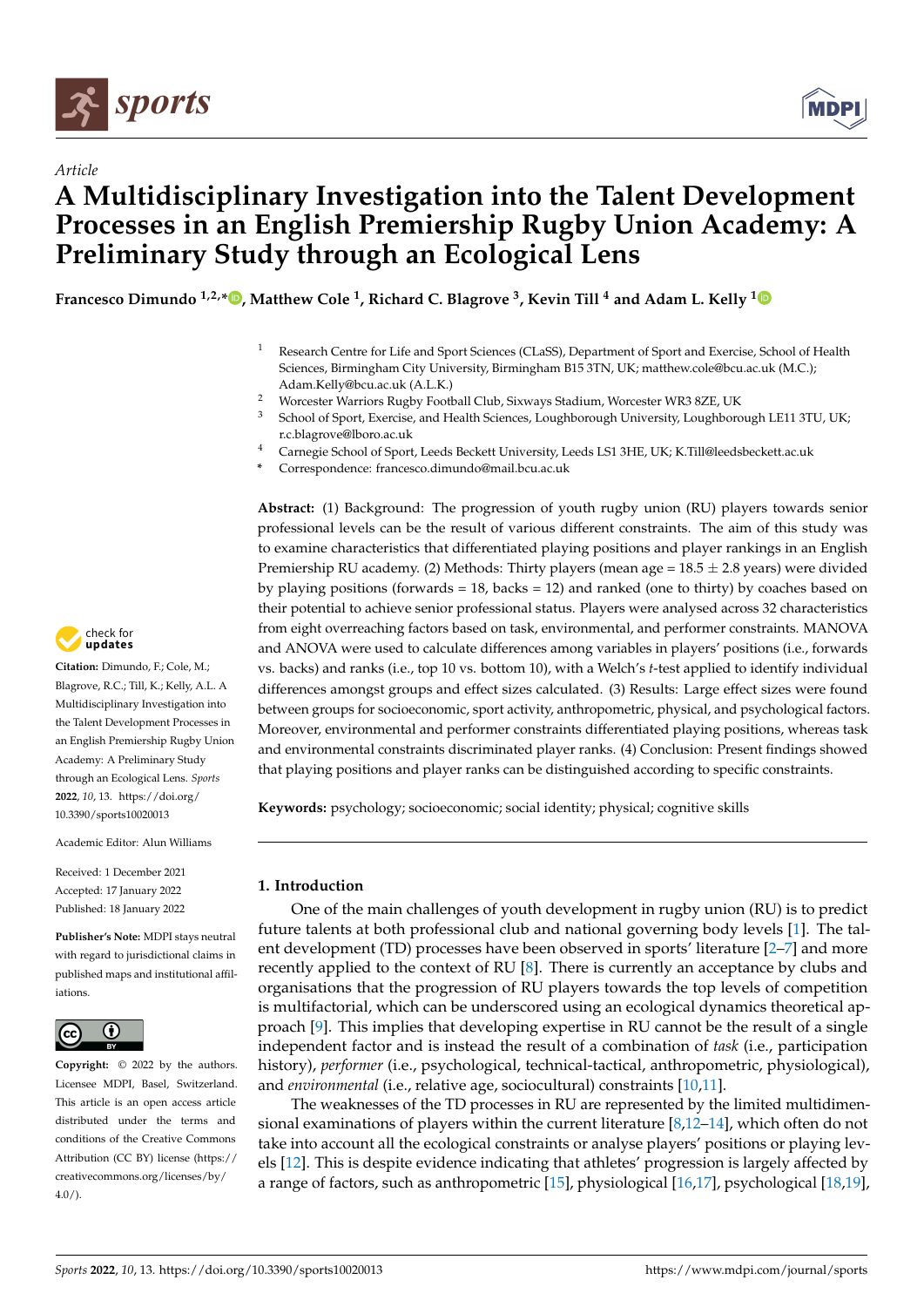



# *Article* **A Multidisciplinary Investigation into the Talent Development Processes in an English Premiership Rugby Union Academy: A Preliminary Study through an Ecological Lens**

**Francesco Dimundo 1,2,[\\*](https://orcid.org/0000-0003-3689-5216) , Matthew Cole <sup>1</sup> , Richard C. Blagrove <sup>3</sup> , Kevin Till <sup>4</sup> and Adam L. Kelly [1](https://orcid.org/0000-0003-4929-1067)**

- <sup>1</sup> Research Centre for Life and Sport Sciences (CLaSS), Department of Sport and Exercise, School of Health Sciences, Birmingham City University, Birmingham B15 3TN, UK; matthew.cole@bcu.ac.uk (M.C.); Adam.Kelly@bcu.ac.uk (A.L.K.)
- 2 Worcester Warriors Rugby Football Club, Sixways Stadium, Worcester WR3 8ZE, UK<br>3 Sebool of Sport, Exercise, and Health Sciences, Loughborough University, Loughboro
- <sup>3</sup> School of Sport, Exercise, and Health Sciences, Loughborough University, Loughborough LE11 3TU, UK; r.c.blagrove@lboro.ac.uk
- <sup>4</sup> Carnegie School of Sport, Leeds Beckett University, Leeds LS1 3HE, UK; K.Till@leedsbeckett.ac.uk
- **\*** Correspondence: francesco.dimundo@mail.bcu.ac.uk

**Abstract:** (1) Background: The progression of youth rugby union (RU) players towards senior professional levels can be the result of various different constraints. The aim of this study was to examine characteristics that differentiated playing positions and player rankings in an English Premiership RU academy. (2) Methods: Thirty players (mean age =  $18.5 \pm 2.8$  years) were divided by playing positions (forwards  $= 18$ , backs  $= 12$ ) and ranked (one to thirty) by coaches based on their potential to achieve senior professional status. Players were analysed across 32 characteristics from eight overreaching factors based on task, environmental, and performer constraints. MANOVA and ANOVA were used to calculate differences among variables in players' positions (i.e., forwards vs. backs) and ranks (i.e., top 10 vs. bottom 10), with a Welch's *t*-test applied to identify individual differences amongst groups and effect sizes calculated. (3) Results: Large effect sizes were found between groups for socioeconomic, sport activity, anthropometric, physical, and psychological factors. Moreover, environmental and performer constraints differentiated playing positions, whereas task and environmental constraints discriminated player ranks. (4) Conclusion: Present findings showed that playing positions and player ranks can be distinguished according to specific constraints.

**Keywords:** psychology; socioeconomic; social identity; physical; cognitive skills

## **1. Introduction**

One of the main challenges of youth development in rugby union (RU) is to predict future talents at both professional club and national governing body levels [\[1\]](#page-14-0). The talent development (TD) processes have been observed in sports' literature [\[2–](#page-14-1)[7\]](#page-14-2) and more recently applied to the context of RU [\[8\]](#page-14-3). There is currently an acceptance by clubs and organisations that the progression of RU players towards the top levels of competition is multifactorial, which can be underscored using an ecological dynamics theoretical approach [\[9\]](#page-14-4). This implies that developing expertise in RU cannot be the result of a single independent factor and is instead the result of a combination of *task* (i.e., participation history), *performer* (i.e., psychological, technical-tactical, anthropometric, physiological), and *environmental* (i.e., relative age, sociocultural) constraints [\[10,](#page-14-5)[11\]](#page-14-6).

The weaknesses of the TD processes in RU are represented by the limited multidimensional examinations of players within the current literature [\[8,](#page-14-3)[12–](#page-14-7)[14\]](#page-14-8), which often do not take into account all the ecological constraints or analyse players' positions or playing levels [\[12\]](#page-14-7). This is despite evidence indicating that athletes' progression is largely affected by a range of factors, such as anthropometric [\[15\]](#page-14-9), physiological [\[16,](#page-14-10)[17\]](#page-14-11), psychological [\[18](#page-14-12)[,19\]](#page-14-13),



**Citation:** Dimundo, F.; Cole, M.; Blagrove, R.C.; Till, K.; Kelly, A.L. A Multidisciplinary Investigation into the Talent Development Processes in an English Premiership Rugby Union Academy: A Preliminary Study through an Ecological Lens. *Sports* **2022**, *10*, 13. [https://doi.org/](https://doi.org/10.3390/sports10020013) [10.3390/sports10020013](https://doi.org/10.3390/sports10020013)

Academic Editor: Alun Williams

Received: 1 December 2021 Accepted: 17 January 2022 Published: 18 January 2022

**Publisher's Note:** MDPI stays neutral with regard to jurisdictional claims in published maps and institutional affiliations.



**Copyright:** © 2022 by the authors. Licensee MDPI, Basel, Switzerland. This article is an open access article distributed under the terms and conditions of the Creative Commons Attribution (CC BY) license [\(https://](https://creativecommons.org/licenses/by/4.0/) [creativecommons.org/licenses/by/](https://creativecommons.org/licenses/by/4.0/)  $4.0/$ ).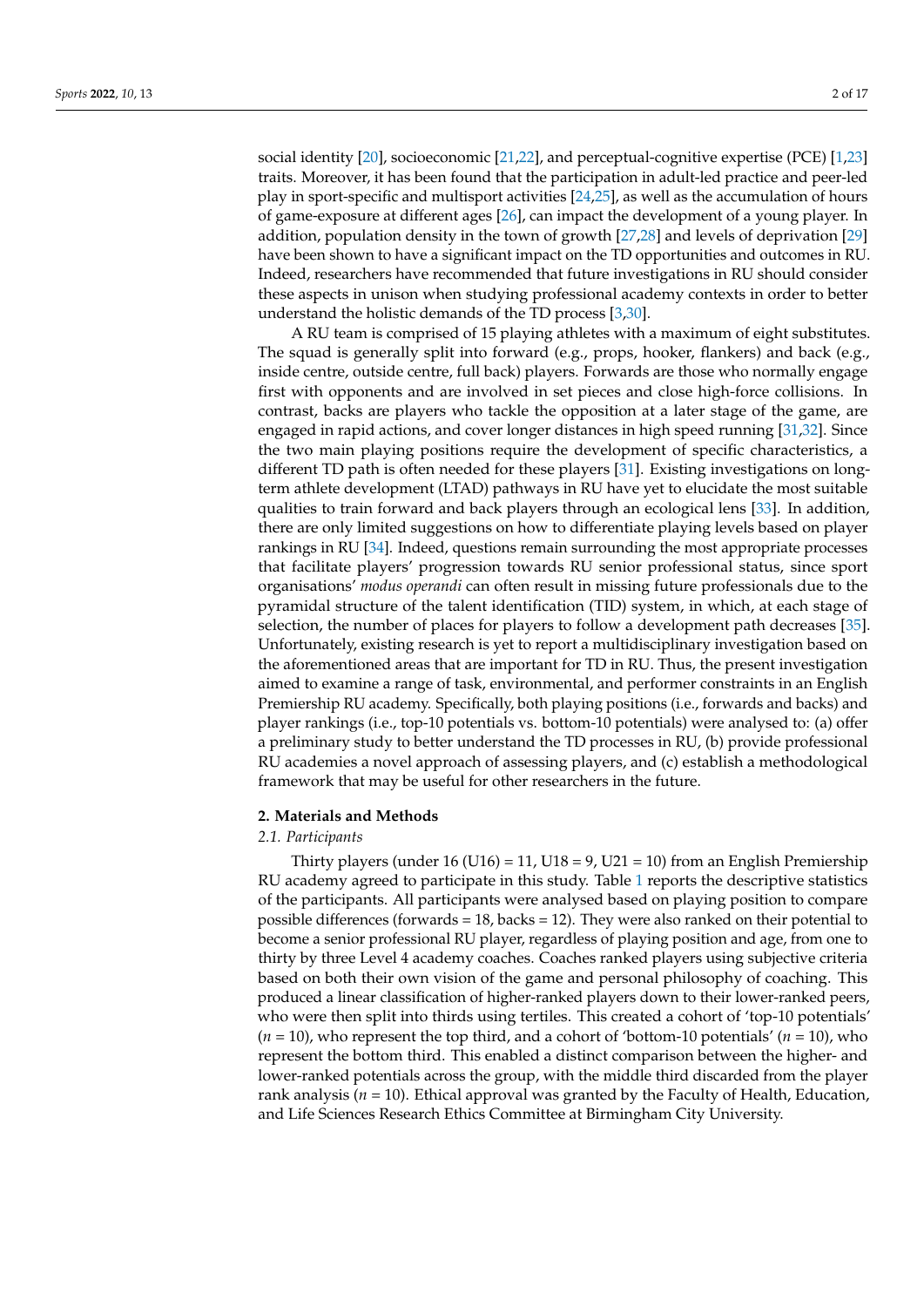social identity [\[20\]](#page-14-14), socioeconomic [\[21](#page-14-15)[,22\]](#page-14-16), and perceptual-cognitive expertise (PCE) [\[1,](#page-14-0)[23\]](#page-14-17) traits. Moreover, it has been found that the participation in adult-led practice and peer-led play in sport-specific and multisport activities [\[24](#page-15-0)[,25\]](#page-15-1), as well as the accumulation of hours of game-exposure at different ages [\[26\]](#page-15-2), can impact the development of a young player. In addition, population density in the town of growth [\[27,](#page-15-3)[28\]](#page-15-4) and levels of deprivation [\[29\]](#page-15-5) have been shown to have a significant impact on the TD opportunities and outcomes in RU. Indeed, researchers have recommended that future investigations in RU should consider these aspects in unison when studying professional academy contexts in order to better understand the holistic demands of the TD process [\[3,](#page-14-18)[30\]](#page-15-6).

A RU team is comprised of 15 playing athletes with a maximum of eight substitutes. The squad is generally split into forward (e.g., props, hooker, flankers) and back (e.g., inside centre, outside centre, full back) players. Forwards are those who normally engage first with opponents and are involved in set pieces and close high-force collisions. In contrast, backs are players who tackle the opposition at a later stage of the game, are engaged in rapid actions, and cover longer distances in high speed running [\[31,](#page-15-7)[32\]](#page-15-8). Since the two main playing positions require the development of specific characteristics, a different TD path is often needed for these players [\[31\]](#page-15-7). Existing investigations on longterm athlete development (LTAD) pathways in RU have yet to elucidate the most suitable qualities to train forward and back players through an ecological lens [\[33\]](#page-15-9). In addition, there are only limited suggestions on how to differentiate playing levels based on player rankings in RU [\[34\]](#page-15-10). Indeed, questions remain surrounding the most appropriate processes that facilitate players' progression towards RU senior professional status, since sport organisations' *modus operandi* can often result in missing future professionals due to the pyramidal structure of the talent identification (TID) system, in which, at each stage of selection, the number of places for players to follow a development path decreases [\[35\]](#page-15-11). Unfortunately, existing research is yet to report a multidisciplinary investigation based on the aforementioned areas that are important for TD in RU. Thus, the present investigation aimed to examine a range of task, environmental, and performer constraints in an English Premiership RU academy. Specifically, both playing positions (i.e., forwards and backs) and player rankings (i.e., top-10 potentials vs. bottom-10 potentials) were analysed to: (a) offer a preliminary study to better understand the TD processes in RU, (b) provide professional RU academies a novel approach of assessing players, and (c) establish a methodological framework that may be useful for other researchers in the future.

#### **2. Materials and Methods**

#### *2.1. Participants*

Thirty players (under 16 (U16) = 11, U18 = 9, U21 = 10) from an English Premiership RU academy agreed to participate in this study. Table [1](#page-3-0) reports the descriptive statistics of the participants. All participants were analysed based on playing position to compare possible differences (forwards = 18, backs = 12). They were also ranked on their potential to become a senior professional RU player, regardless of playing position and age, from one to thirty by three Level 4 academy coaches. Coaches ranked players using subjective criteria based on both their own vision of the game and personal philosophy of coaching. This produced a linear classification of higher-ranked players down to their lower-ranked peers, who were then split into thirds using tertiles. This created a cohort of 'top-10 potentials' (*n* = 10), who represent the top third, and a cohort of 'bottom-10 potentials' (*n* = 10), who represent the bottom third. This enabled a distinct comparison between the higher- and lower-ranked potentials across the group, with the middle third discarded from the player rank analysis (*n* = 10). Ethical approval was granted by the Faculty of Health, Education, and Life Sciences Research Ethics Committee at Birmingham City University.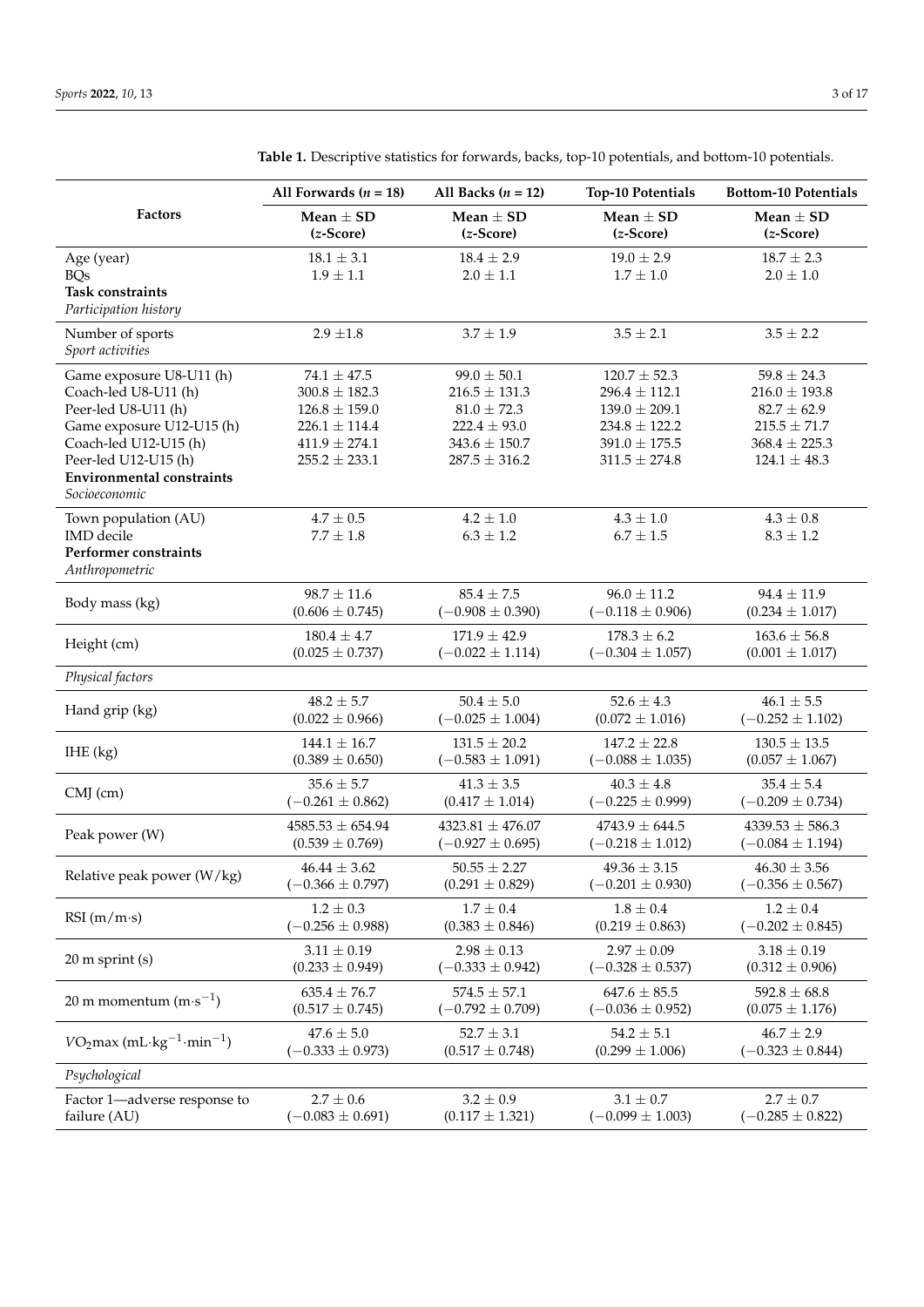|                                                  | All Forwards $(n = 18)$      | All Backs $(n = 12)$          | <b>Top-10 Potentials</b>     | <b>Bottom-10 Potentials</b>  |
|--------------------------------------------------|------------------------------|-------------------------------|------------------------------|------------------------------|
| <b>Factors</b>                                   | Mean $\pm$ SD<br>$(z-Score)$ | Mean $\pm$ SD<br>$(z$ -Score) | Mean $\pm$ SD<br>$(z-Score)$ | Mean $\pm$ SD<br>$(z-Score)$ |
| Age (year)                                       | $18.1 \pm 3.1$               | $18.4 \pm 2.9$                | $19.0 \pm 2.9$               | $18.7 \pm 2.3$               |
| <b>BQs</b>                                       | $1.9\pm1.1$                  | $2.0\pm1.1$                   | $1.7 \pm 1.0$                | $2.0\pm1.0$                  |
| <b>Task constraints</b><br>Participation history |                              |                               |                              |                              |
| Number of sports<br>Sport activities             | $2.9 \pm 1.8$                | $3.7 \pm 1.9$                 | $3.5 \pm 2.1$                | $3.5 \pm 2.2$                |
| Game exposure U8-U11 (h)                         | $74.1 \pm 47.5$              | $99.0 \pm 50.1$               | $120.7 \pm 52.3$             | $59.8 \pm 24.3$              |
| Coach-led U8-U11 (h)                             | $300.8 \pm 182.3$            | $216.5 \pm 131.3$             | $296.4 \pm 112.1$            | $216.0 \pm 193.8$            |
| Peer-led U8-U11 (h)                              | $126.8 \pm 159.0$            | $81.0 \pm 72.3$               | $139.0 \pm 209.1$            | $82.7 \pm 62.9$              |
| Game exposure U12-U15 (h)                        | $226.1 \pm 114.4$            | $222.4 \pm 93.0$              | $234.8 \pm 122.2$            | $215.5 \pm 71.7$             |
| Coach-led U12-U15 (h)                            | $411.9 \pm 274.1$            | $343.6 \pm 150.7$             | $391.0 \pm 175.5$            | $368.4 \pm 225.3$            |
| Peer-led U12-U15 (h)                             | $255.2 \pm 233.1$            | $287.5 \pm 316.2$             | $311.5 \pm 274.8$            | $124.1 \pm 48.3$             |
| <b>Environmental constraints</b>                 |                              |                               |                              |                              |
| Socioeconomic                                    |                              |                               |                              |                              |
| Town population (AU)                             | $4.7 \pm 0.5$                | $4.2 \pm 1.0$                 | $4.3 \pm 1.0$                | $4.3 \pm 0.8$                |
| <b>IMD</b> decile                                | $7.7\pm1.8$                  | $6.3 \pm 1.2$                 | $6.7\pm1.5$                  | $8.3 \pm 1.2$                |
| Performer constraints<br>Anthropometric          |                              |                               |                              |                              |
|                                                  | $98.7 \pm 11.6$              | $85.4\pm7.5$                  | $96.0 \pm 11.2$              | $94.4 \pm 11.9$              |
| Body mass (kg)                                   | $(0.606 \pm 0.745)$          | $(-0.908 \pm 0.390)$          | $(-0.118 \pm 0.906)$         | $(0.234 \pm 1.017)$          |
|                                                  | $180.4 \pm 4.7$              | $171.9 \pm 42.9$              | $178.3 \pm 6.2$              | $163.6 \pm 56.8$             |
| Height (cm)                                      | $(0.025 \pm 0.737)$          | $(-0.022 \pm 1.114)$          | $(-0.304 \pm 1.057)$         | $(0.001 \pm 1.017)$          |
| Physical factors                                 |                              |                               |                              |                              |
|                                                  | $48.2 \pm 5.7$               | $50.4 \pm 5.0$                | $52.6 \pm 4.3$               | $46.1 \pm 5.5$               |
| Hand grip (kg)                                   | $(0.022 \pm 0.966)$          | $(-0.025 \pm 1.004)$          | $(0.072 \pm 1.016)$          | $(-0.252 \pm 1.102)$         |
|                                                  | $144.1 \pm 16.7$             | $131.5 \pm 20.2$              | $147.2 \pm 22.8$             | $130.5 \pm 13.5$             |
| $IHE$ (kg)                                       | $(0.389 \pm 0.650)$          | $(-0.583 \pm 1.091)$          | $(-0.088 \pm 1.035)$         | $(0.057 \pm 1.067)$          |
|                                                  |                              |                               |                              |                              |
| $CMJ$ (cm)                                       | $35.6 \pm 5.7$               | $41.3 \pm 3.5$                | $40.3 \pm 4.8$               | $35.4 \pm 5.4$               |
|                                                  | $(-0.261 \pm 0.862)$         | $(0.417 \pm 1.014)$           | $(-0.225 \pm 0.999)$         | $(-0.209 \pm 0.734)$         |
|                                                  | $4585.53 \pm 654.94$         | $4323.81 \pm 476.07$          | $4743.9 \pm 644.5$           | $4339.53 \pm 586.3$          |
| Peak power (W)                                   | $(0.539 \pm 0.769)$          | $(-0.927 \pm 0.695)$          | $(-0.218 \pm 1.012)$         | $(-0.084 \pm 1.194)$         |
|                                                  | $46.44 \pm 3.62$             | $50.55 \pm 2.27$              | $49.36 \pm 3.15$             | $46.30 \pm 3.56$             |
| Relative peak power (W/kg)                       | $(-0.366 \pm 0.797)$         | $(0.291 \pm 0.829)$           | $(-0.201 \pm 0.930)$         | $(-0.356 \pm 0.567)$         |
|                                                  |                              |                               |                              |                              |
| RSI $(m/m·s)$                                    | $1.2 \pm 0.3$                | $1.7 \pm 0.4$                 | $1.8 \pm 0.4$                | $1.2 \pm 0.4$                |
|                                                  | $(-0.256 \pm 0.988)$         | $(0.383 \pm 0.846)$           | $(0.219 \pm 0.863)$          | $(-0.202 \pm 0.845)$         |
| $20$ m sprint $(s)$                              | $3.11 \pm 0.19$              | $2.98 \pm 0.13$               | $2.97 \pm 0.09$              | $3.18 \pm 0.19$              |
|                                                  | $(0.233 \pm 0.949)$          | $(-0.333 \pm 0.942)$          | $(-0.328 \pm 0.537)$         | $(0.312 \pm 0.906)$          |
|                                                  | $635.4 \pm 76.7$             | $574.5 \pm 57.1$              | $647.6 \pm 85.5$             | $592.8 \pm 68.8$             |
| 20 m momentum $(m \cdot s^{-1})$                 | $(0.517 \pm 0.745)$          | $(-0.792 \pm 0.709)$          | $(-0.036 \pm 0.952)$         | $(0.075 \pm 1.176)$          |
|                                                  | $47.6 \pm 5.0$               | $52.7 \pm 3.1$                | $54.2 \pm 5.1$               | $46.7 \pm 2.9$               |
| $VO2max (mL·kg-1·min-1)$                         | $(-0.333 \pm 0.973)$         | $(0.517 \pm 0.748)$           | $(0.299 \pm 1.006)$          | $(-0.323 \pm 0.844)$         |
| Psychological                                    |                              |                               |                              |                              |
|                                                  |                              |                               |                              |                              |
| Factor 1-adverse response to                     | $2.7 \pm 0.6$                | $3.2 \pm 0.9$                 | $3.1 \pm 0.7$                | $2.7 \pm 0.7$                |
| failure (AU)                                     | $(-0.083 \pm 0.691)$         | $(0.117 \pm 1.321)$           | $(-0.099 \pm 1.003)$         | $(-0.285 \pm 0.822)$         |

**Table 1.** Descriptive statistics for forwards, backs, top-10 potentials, and bottom-10 potentials.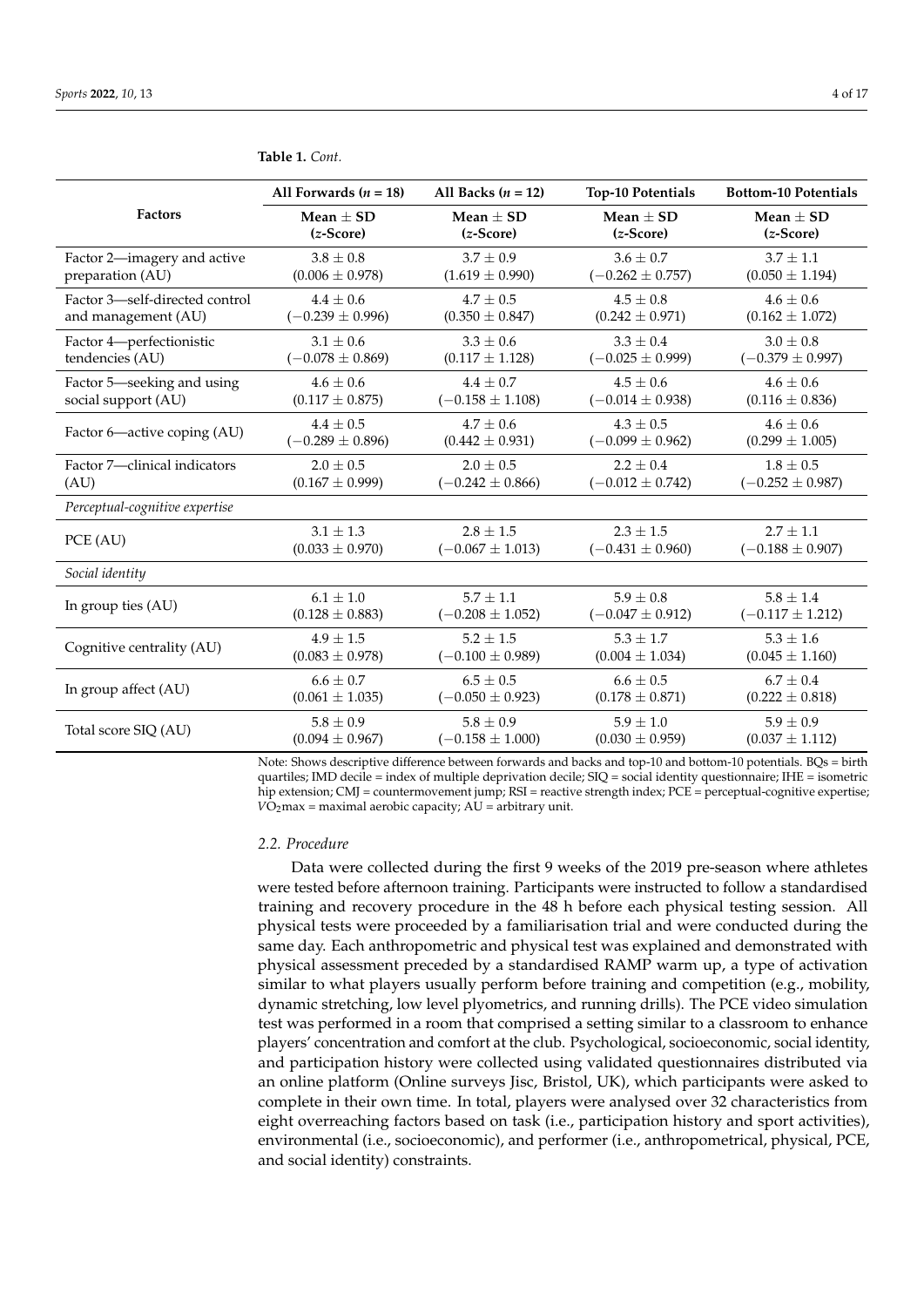|                                | All Forwards $(n = 18)$ | All Backs $(n = 12)$ | <b>Top-10 Potentials</b> | <b>Bottom-10 Potentials</b> |
|--------------------------------|-------------------------|----------------------|--------------------------|-----------------------------|
| <b>Factors</b>                 | $Mean + SD$             | $Mean + SD$          | $Mean + SD$              | $Mean + SD$                 |
|                                | $(z-Score)$             | $(z-Score)$          | $(z-Score)$              | $(z-Score)$                 |
| Factor 2-imagery and active    | $3.8 \pm 0.8$           | $3.7 \pm 0.9$        | $3.6 \pm 0.7$            | $3.7 \pm 1.1$               |
| preparation (AU)               | $(0.006 \pm 0.978)$     | $(1.619 \pm 0.990)$  | $(-0.262 \pm 0.757)$     | $(0.050 \pm 1.194)$         |
| Factor 3-self-directed control | $4.4 \pm 0.6$           | $4.7 \pm 0.5$        | $4.5 \pm 0.8$            | $4.6 \pm 0.6$               |
| and management (AU)            | $(-0.239 \pm 0.996)$    | $(0.350 \pm 0.847)$  | $(0.242 \pm 0.971)$      | $(0.162 \pm 1.072)$         |
| Factor 4-perfectionistic       | $3.1 \pm 0.6$           | $3.3 \pm 0.6$        | $3.3 \pm 0.4$            | $3.0 \pm 0.8$               |
| tendencies (AU)                | $(-0.078 \pm 0.869)$    | $(0.117 \pm 1.128)$  | $(-0.025 \pm 0.999)$     | $(-0.379 \pm 0.997)$        |
| Factor 5—seeking and using     | $4.6 \pm 0.6$           | $4.4 \pm 0.7$        | $4.5 \pm 0.6$            | $4.6 \pm 0.6$               |
| social support (AU)            | $(0.117 \pm 0.875)$     | $(-0.158 \pm 1.108)$ | $(-0.014 \pm 0.938)$     | $(0.116 \pm 0.836)$         |
| Factor 6-active coping (AU)    | $4.4 \pm 0.5$           | $4.7 + 0.6$          | $4.3 + 0.5$              | $4.6 + 0.6$                 |
|                                | $(-0.289 \pm 0.896)$    | $(0.442 \pm 0.931)$  | $(-0.099 \pm 0.962)$     | $(0.299 \pm 1.005)$         |
| Factor 7-clinical indicators   | $2.0 \pm 0.5$           | $2.0 \pm 0.5$        | $2.2 \pm 0.4$            | $1.8 \pm 0.5$               |
| (AU)                           | $(0.167 \pm 0.999)$     | $(-0.242 \pm 0.866)$ | $(-0.012 \pm 0.742)$     | $(-0.252 \pm 0.987)$        |
| Perceptual-cognitive expertise |                         |                      |                          |                             |
| PCE (AU)                       | $3.1 \pm 1.3$           | $2.8 \pm 1.5$        | $2.3 \pm 1.5$            | $2.7 \pm 1.1$               |
|                                | $(0.033 \pm 0.970)$     | $(-0.067 \pm 1.013)$ | $(-0.431 \pm 0.960)$     | $(-0.188 \pm 0.907)$        |
| Social identity                |                         |                      |                          |                             |
| In group ties (AU)             | $6.1 \pm 1.0$           | $5.7 + 1.1$          | $5.9 + 0.8$              | $5.8 \pm 1.4$               |
|                                | $(0.128 \pm 0.883)$     | $(-0.208 \pm 1.052)$ | $(-0.047 \pm 0.912)$     | $(-0.117 \pm 1.212)$        |
| Cognitive centrality (AU)      | $4.9 \pm 1.5$           | $5.2 \pm 1.5$        | $5.3 \pm 1.7$            | $5.3 \pm 1.6$               |
|                                | $(0.083 \pm 0.978)$     | $(-0.100 \pm 0.989)$ | $(0.004 \pm 1.034)$      | $(0.045 \pm 1.160)$         |
| In group affect (AU)           | $6.6 \pm 0.7$           | $6.5 \pm 0.5$        | $6.6 \pm 0.5$            | $6.7 \pm 0.4$               |
|                                | $(0.061 \pm 1.035)$     | $(-0.050 \pm 0.923)$ | $(0.178 \pm 0.871)$      | $(0.222 \pm 0.818)$         |
| Total score SIQ (AU)           | $5.8 \pm 0.9$           | $5.8 \pm 0.9$        | $5.9 \pm 1.0$            | $5.9 \pm 0.9$               |
|                                | $(0.094 \pm 0.967)$     | $(-0.158 \pm 1.000)$ | $(0.030 \pm 0.959)$      | $(0.037 \pm 1.112)$         |

<span id="page-3-0"></span>**Table 1.** *Cont.*

Note: Shows descriptive difference between forwards and backs and top-10 and bottom-10 potentials. BQs = birth quartiles; IMD decile = index of multiple deprivation decile; SIQ = social identity questionnaire; IHE = isometric hip extension; CMJ = countermovement jump; RSI = reactive strength index; PCE = perceptual-cognitive expertise;  $V\overline{O}_2$ max = maximal aerobic capacity;  $A\overline{U}$  = arbitrary unit.

#### *2.2. Procedure*

Data were collected during the first 9 weeks of the 2019 pre-season where athletes were tested before afternoon training. Participants were instructed to follow a standardised training and recovery procedure in the 48 h before each physical testing session. All physical tests were proceeded by a familiarisation trial and were conducted during the same day. Each anthropometric and physical test was explained and demonstrated with physical assessment preceded by a standardised RAMP warm up, a type of activation similar to what players usually perform before training and competition (e.g., mobility, dynamic stretching, low level plyometrics, and running drills). The PCE video simulation test was performed in a room that comprised a setting similar to a classroom to enhance players' concentration and comfort at the club. Psychological, socioeconomic, social identity, and participation history were collected using validated questionnaires distributed via an online platform (Online surveys Jisc, Bristol, UK), which participants were asked to complete in their own time. In total, players were analysed over 32 characteristics from eight overreaching factors based on task (i.e., participation history and sport activities), environmental (i.e., socioeconomic), and performer (i.e., anthropometrical, physical, PCE, and social identity) constraints.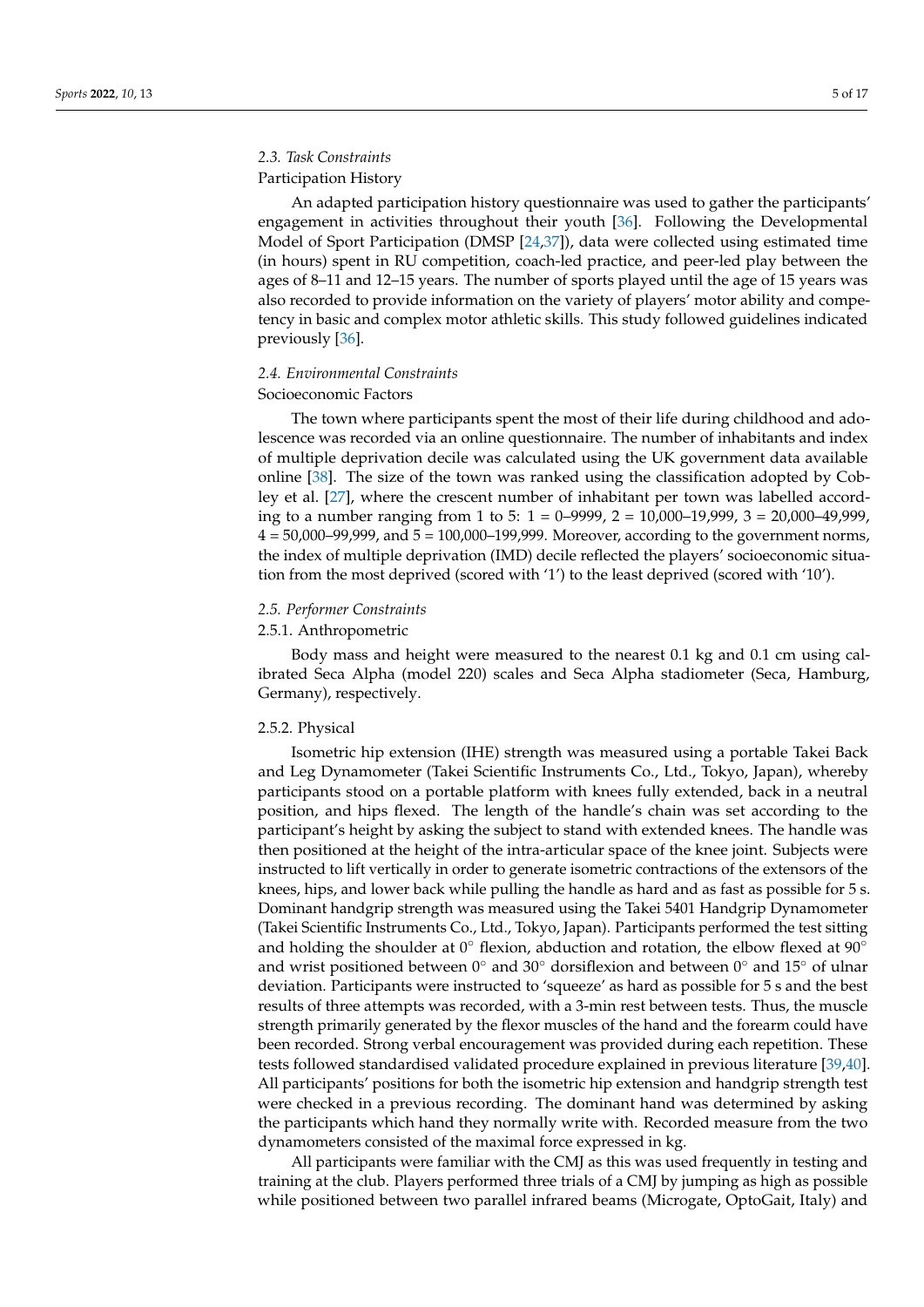## *2.3. Task Constraints*

## Participation History

An adapted participation history questionnaire was used to gather the participants' engagement in activities throughout their youth [\[36\]](#page-15-12). Following the Developmental Model of Sport Participation (DMSP [\[24,](#page-15-0)[37\]](#page-15-13)), data were collected using estimated time (in hours) spent in RU competition, coach-led practice, and peer-led play between the ages of 8–11 and 12–15 years. The number of sports played until the age of 15 years was also recorded to provide information on the variety of players' motor ability and competency in basic and complex motor athletic skills. This study followed guidelines indicated previously [\[36\]](#page-15-12).

## *2.4. Environmental Constraints*

#### Socioeconomic Factors

The town where participants spent the most of their life during childhood and adolescence was recorded via an online questionnaire. The number of inhabitants and index of multiple deprivation decile was calculated using the UK government data available online [\[38\]](#page-15-14). The size of the town was ranked using the classification adopted by Cobley et al. [\[27\]](#page-15-3), where the crescent number of inhabitant per town was labelled according to a number ranging from 1 to 5: 1 = 0–9999, 2 = 10,000–19,999, 3 = 20,000–49,999,  $4 = 50,000-99,999$ , and  $5 = 100,000-199,999$ . Moreover, according to the government norms, the index of multiple deprivation (IMD) decile reflected the players' socioeconomic situation from the most deprived (scored with '1') to the least deprived (scored with '10').

### *2.5. Performer Constraints*

#### 2.5.1. Anthropometric

Body mass and height were measured to the nearest 0.1 kg and 0.1 cm using calibrated Seca Alpha (model 220) scales and Seca Alpha stadiometer (Seca, Hamburg, Germany), respectively.

## 2.5.2. Physical

Isometric hip extension (IHE) strength was measured using a portable Takei Back and Leg Dynamometer (Takei Scientific Instruments Co., Ltd., Tokyo, Japan), whereby participants stood on a portable platform with knees fully extended, back in a neutral position, and hips flexed. The length of the handle's chain was set according to the participant's height by asking the subject to stand with extended knees. The handle was then positioned at the height of the intra-articular space of the knee joint. Subjects were instructed to lift vertically in order to generate isometric contractions of the extensors of the knees, hips, and lower back while pulling the handle as hard and as fast as possible for 5 s. Dominant handgrip strength was measured using the Takei 5401 Handgrip Dynamometer (Takei Scientific Instruments Co., Ltd., Tokyo, Japan). Participants performed the test sitting and holding the shoulder at  $0^\circ$  flexion, abduction and rotation, the elbow flexed at  $90^\circ$ and wrist positioned between  $0°$  and  $30°$  dorsiflexion and between  $0°$  and  $15°$  of ulnar deviation. Participants were instructed to 'squeeze' as hard as possible for 5 s and the best results of three attempts was recorded, with a 3-min rest between tests. Thus, the muscle strength primarily generated by the flexor muscles of the hand and the forearm could have been recorded. Strong verbal encouragement was provided during each repetition. These tests followed standardised validated procedure explained in previous literature [\[39,](#page-15-15)[40\]](#page-15-16). All participants' positions for both the isometric hip extension and handgrip strength test were checked in a previous recording. The dominant hand was determined by asking the participants which hand they normally write with. Recorded measure from the two dynamometers consisted of the maximal force expressed in kg.

All participants were familiar with the CMJ as this was used frequently in testing and training at the club. Players performed three trials of a CMJ by jumping as high as possible while positioned between two parallel infrared beams (Microgate, OptoGait, Italy) and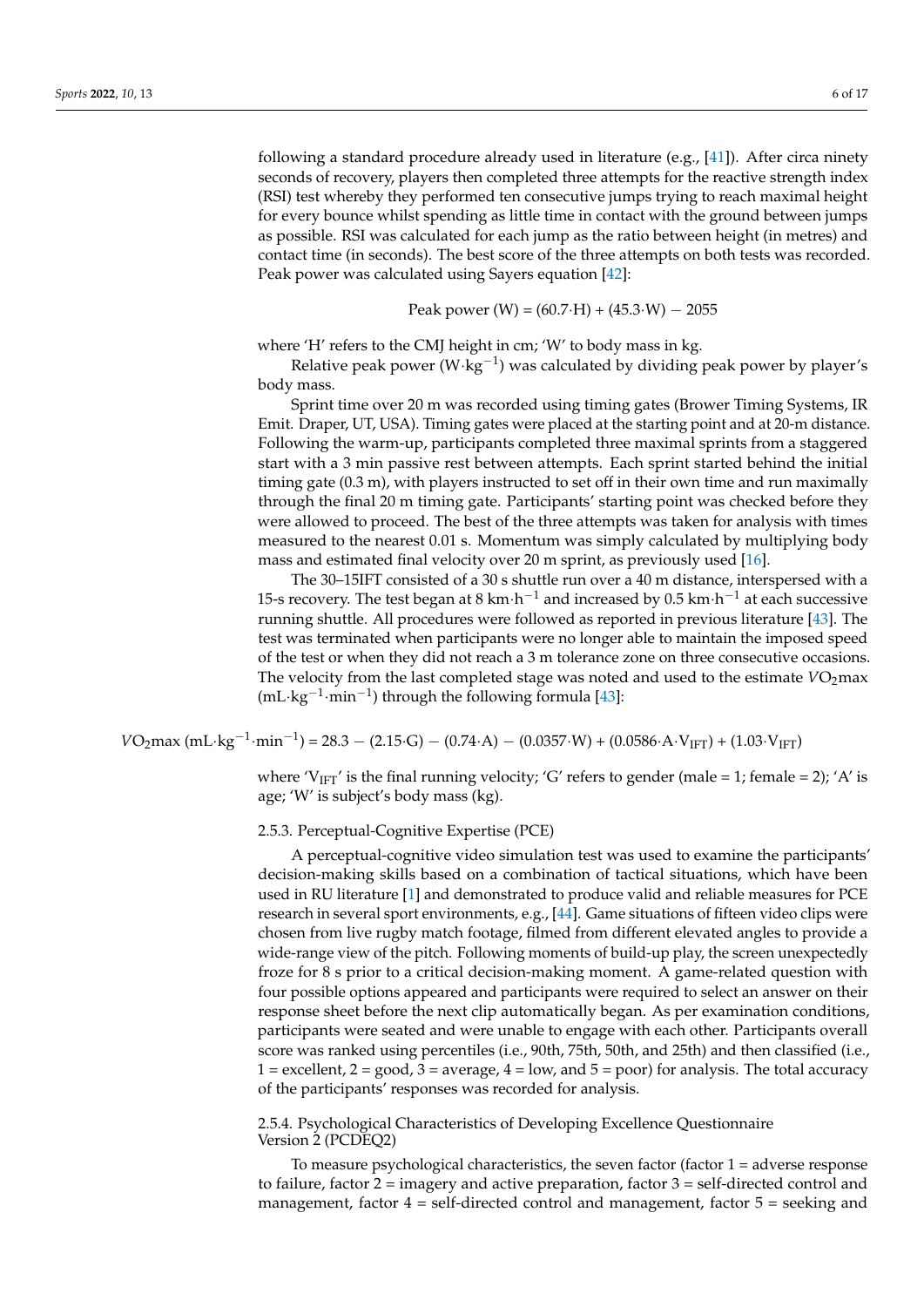following a standard procedure already used in literature (e.g.,  $[41]$ ). After circa ninety seconds of recovery, players then completed three attempts for the reactive strength index (RSI) test whereby they performed ten consecutive jumps trying to reach maximal height for every bounce whilst spending as little time in contact with the ground between jumps as possible. RSI was calculated for each jump as the ratio between height (in metres) and contact time (in seconds). The best score of the three attempts on both tests was recorded. Peak power was calculated using Sayers equation [\[42\]](#page-15-18):

Peak power (W) = 
$$
(60.7 \cdot H) + (45.3 \cdot W) - 2055
$$

where 'H' refers to the CMJ height in cm; 'W' to body mass in kg.

Relative peak power (W·kg<sup>-1</sup>) was calculated by dividing peak power by player's body mass.

Sprint time over 20 m was recorded using timing gates (Brower Timing Systems, IR Emit. Draper, UT, USA). Timing gates were placed at the starting point and at 20-m distance. Following the warm-up, participants completed three maximal sprints from a staggered start with a 3 min passive rest between attempts. Each sprint started behind the initial timing gate (0.3 m), with players instructed to set off in their own time and run maximally through the final 20 m timing gate. Participants' starting point was checked before they were allowed to proceed. The best of the three attempts was taken for analysis with times measured to the nearest 0.01 s. Momentum was simply calculated by multiplying body mass and estimated final velocity over 20 m sprint, as previously used [\[16\]](#page-14-10).

The 30–15IFT consisted of a 30 s shuttle run over a 40 m distance, interspersed with a 15-s recovery. The test began at 8 km $\cdot$ h $^{-1}$  and increased by 0.5 km $\cdot$ h $^{-1}$  at each successive running shuttle. All procedures were followed as reported in previous literature [\[43\]](#page-15-19). The test was terminated when participants were no longer able to maintain the imposed speed of the test or when they did not reach a 3 m tolerance zone on three consecutive occasions. The velocity from the last completed stage was noted and used to the estimate  $VO<sub>2</sub>$ max (mL·kg−<sup>1</sup> ·min−<sup>1</sup> ) through the following formula [\[43\]](#page-15-19):

 $VO_2$ max (mL·kg<sup>-1</sup>·min<sup>-1</sup>) = 28.3 – (2.15·G) – (0.74·A) – (0.0357·W) + (0.0586·A·V<sub>IFT</sub>) + (1.03·V<sub>IFT</sub>)

where 'V<sub>IFT</sub>' is the final running velocity; 'G' refers to gender (male = 1; female = 2); 'A' is age; 'W' is subject's body mass (kg).

#### 2.5.3. Perceptual-Cognitive Expertise (PCE)

A perceptual-cognitive video simulation test was used to examine the participants' decision-making skills based on a combination of tactical situations, which have been used in RU literature [\[1\]](#page-14-0) and demonstrated to produce valid and reliable measures for PCE research in several sport environments, e.g., [\[44\]](#page-15-20). Game situations of fifteen video clips were chosen from live rugby match footage, filmed from different elevated angles to provide a wide-range view of the pitch. Following moments of build-up play, the screen unexpectedly froze for 8 s prior to a critical decision-making moment. A game-related question with four possible options appeared and participants were required to select an answer on their response sheet before the next clip automatically began. As per examination conditions, participants were seated and were unable to engage with each other. Participants overall score was ranked using percentiles (i.e., 90th, 75th, 50th, and 25th) and then classified (i.e., 1 = excellent,  $2 = \text{good}$ ,  $3 = \text{average}$ ,  $4 = \text{low}$ , and  $5 = \text{poor}$ ) for analysis. The total accuracy of the participants' responses was recorded for analysis.

2.5.4. Psychological Characteristics of Developing Excellence Questionnaire Version 2 (PCDEQ2)

To measure psychological characteristics, the seven factor (factor  $1 =$  adverse response to failure, factor  $2 = \text{imagery}$  and active preparation, factor  $3 = \text{self-directed control}$  and management, factor  $4 = \text{self-directed control}$  and management, factor  $5 = \text{seeking}$  and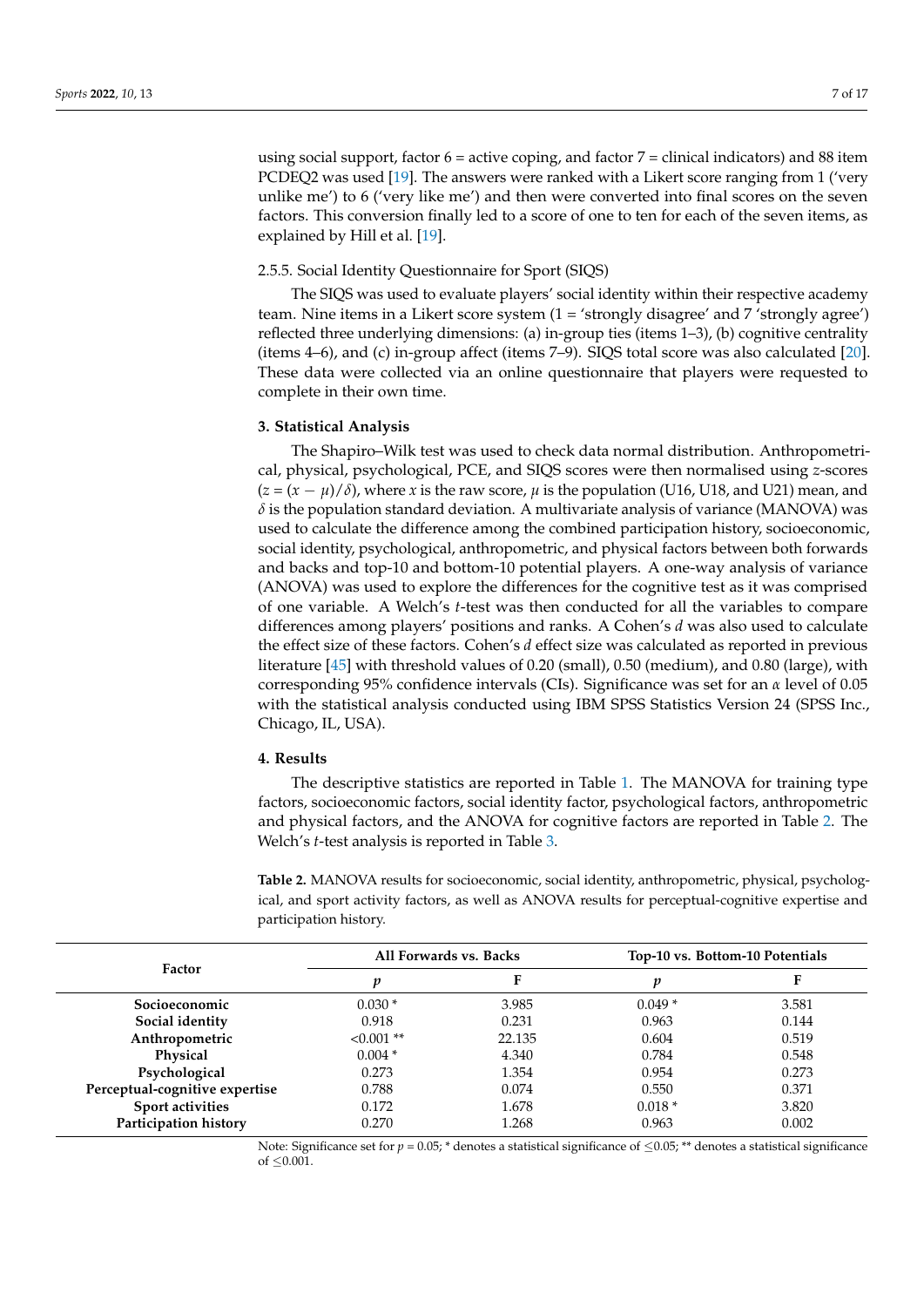using social support, factor  $6 =$  active coping, and factor  $7 =$  clinical indicators) and 88 item PCDEQ2 was used [\[19\]](#page-14-13). The answers were ranked with a Likert score ranging from 1 ('very unlike me') to 6 ('very like me') and then were converted into final scores on the seven factors. This conversion finally led to a score of one to ten for each of the seven items, as explained by Hill et al. [\[19\]](#page-14-13).

#### 2.5.5. Social Identity Questionnaire for Sport (SIQS)

The SIQS was used to evaluate players' social identity within their respective academy team. Nine items in a Likert score system (1 = 'strongly disagree' and 7 'strongly agree') reflected three underlying dimensions: (a) in-group ties (items 1–3), (b) cognitive centrality (items 4–6), and (c) in-group affect (items 7–9). SIQS total score was also calculated [\[20\]](#page-14-14). These data were collected via an online questionnaire that players were requested to complete in their own time.

#### **3. Statistical Analysis**

The Shapiro–Wilk test was used to check data normal distribution. Anthropometrical, physical, psychological, PCE, and SIQS scores were then normalised using *z*-scores  $(z = (x - \mu)/\delta)$ , where *x* is the raw score,  $\mu$  is the population (U16, U18, and U21) mean, and  $\delta$  is the population standard deviation. A multivariate analysis of variance (MANOVA) was used to calculate the difference among the combined participation history, socioeconomic, social identity, psychological, anthropometric, and physical factors between both forwards and backs and top-10 and bottom-10 potential players. A one-way analysis of variance (ANOVA) was used to explore the differences for the cognitive test as it was comprised of one variable. A Welch's *t*-test was then conducted for all the variables to compare differences among players' positions and ranks. A Cohen's *d* was also used to calculate the effect size of these factors. Cohen's *d* effect size was calculated as reported in previous literature [\[45\]](#page-15-21) with threshold values of 0.20 (small), 0.50 (medium), and 0.80 (large), with corresponding 95% confidence intervals (CIs). Significance was set for an *α* level of 0.05 with the statistical analysis conducted using IBM SPSS Statistics Version 24 (SPSS Inc., Chicago, IL, USA).

#### **4. Results**

The descriptive statistics are reported in Table [1.](#page-3-0) The MANOVA for training type factors, socioeconomic factors, social identity factor, psychological factors, anthropometric and physical factors, and the ANOVA for cognitive factors are reported in Table [2.](#page-6-0) The Welch's *t*-test analysis is reported in Table [3.](#page-9-0)

<span id="page-6-0"></span>**Table 2.** MANOVA results for socioeconomic, social identity, anthropometric, physical, psychological, and sport activity factors, as well as ANOVA results for perceptual-cognitive expertise and participation history.

|                                | All Forwards vs. Backs |        | Top-10 vs. Bottom-10 Potentials |       |
|--------------------------------|------------------------|--------|---------------------------------|-------|
| Factor                         | v                      |        |                                 |       |
| Socioeconomic                  | $0.030*$               | 3.985  | $0.049*$                        | 3.581 |
| Social identity                | 0.918                  | 0.231  | 0.963                           | 0.144 |
| Anthropometric                 | $< 0.001$ **           | 22.135 | 0.604                           | 0.519 |
| Physical                       | $0.004*$               | 4.340  | 0.784                           | 0.548 |
| Psychological                  | 0.273                  | 1.354  | 0.954                           | 0.273 |
| Perceptual-cognitive expertise | 0.788                  | 0.074  | 0.550                           | 0.371 |
| Sport activities               | 0.172                  | 1.678  | $0.018*$                        | 3.820 |
| Participation history          | 0.270                  | 1.268  | 0.963                           | 0.002 |

Note: Significance set for  $p = 0.05$ ;  $*$  denotes a statistical significance of  $\leq 0.05$ ; \*\* denotes a statistical significance of  $\leq 0.001$ .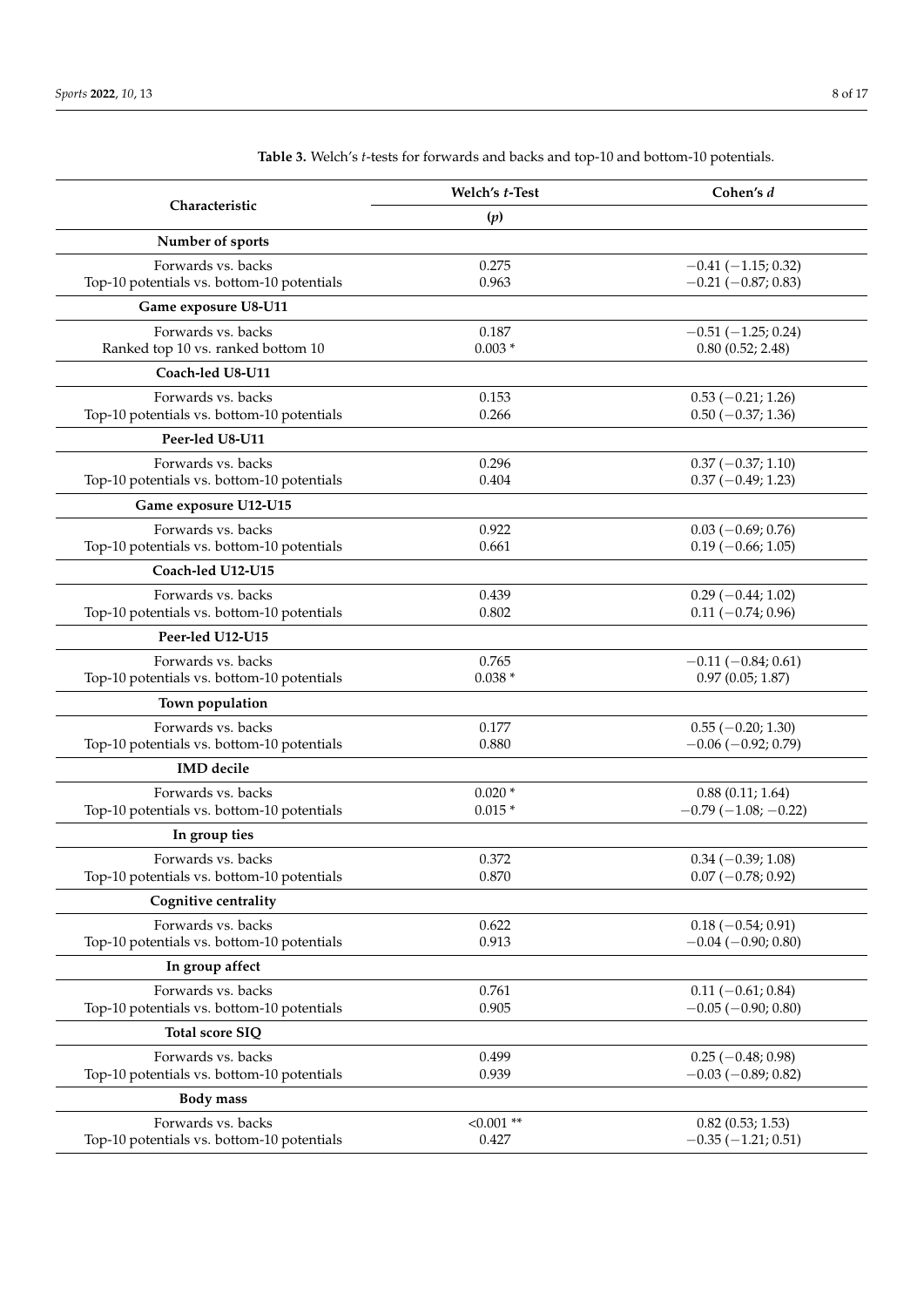|                                                                  | Welch's t-Test    | Cohen's d                                         |
|------------------------------------------------------------------|-------------------|---------------------------------------------------|
| Characteristic                                                   | (p)               |                                                   |
| Number of sports                                                 |                   |                                                   |
| Forwards vs. backs                                               | 0.275             | $-0.41(-1.15; 0.32)$                              |
| Top-10 potentials vs. bottom-10 potentials                       | 0.963             | $-0.21(-0.87; 0.83)$                              |
| Game exposure U8-U11                                             |                   |                                                   |
| Forwards vs. backs<br>Ranked top 10 vs. ranked bottom 10         | 0.187<br>$0.003*$ | $-0.51(-1.25; 0.24)$<br>0.80(0.52; 2.48)          |
| Coach-led U8-U11                                                 |                   |                                                   |
| Forwards vs. backs                                               | 0.153             | $0.53$ (-0.21; 1.26)                              |
| Top-10 potentials vs. bottom-10 potentials                       | 0.266             | $0.50 (-0.37; 1.36)$                              |
| Peer-led U8-U11                                                  |                   |                                                   |
| Forwards vs. backs                                               | 0.296             | $0.37(-0.37;1.10)$                                |
| Top-10 potentials vs. bottom-10 potentials                       | 0.404             | $0.37(-0.49; 1.23)$                               |
| Game exposure U12-U15                                            |                   |                                                   |
| Forwards vs. backs                                               | 0.922             | $0.03 (-0.69; 0.76)$                              |
| Top-10 potentials vs. bottom-10 potentials                       | 0.661             | $0.19 (-0.66; 1.05)$                              |
| Coach-led U12-U15                                                |                   |                                                   |
| Forwards vs. backs                                               | 0.439             | $0.29(-0.44;1.02)$                                |
| Top-10 potentials vs. bottom-10 potentials                       | 0.802             | $0.11 (-0.74; 0.96)$                              |
| Peer-led U12-U15                                                 |                   |                                                   |
| Forwards vs. backs                                               | 0.765             | $-0.11(-0.84; 0.61)$                              |
| Top-10 potentials vs. bottom-10 potentials                       | $0.038*$          | 0.97(0.05; 1.87)                                  |
| Town population                                                  |                   |                                                   |
| Forwards vs. backs                                               | 0.177             | $0.55 (-0.20; 1.30)$                              |
| Top-10 potentials vs. bottom-10 potentials                       | 0.880             | $-0.06$ ( $-0.92$ ; 0.79)                         |
| <b>IMD</b> decile                                                |                   |                                                   |
| Forwards vs. backs                                               | $0.020*$          | 0.88(0.11; 1.64)                                  |
| Top-10 potentials vs. bottom-10 potentials                       | $0.015*$          | $-0.79(-1.08,-0.22)$                              |
| In group ties                                                    |                   |                                                   |
| Forwards vs. backs<br>Top-10 potentials vs. bottom-10 potentials | 0.372<br>0.870    | $0.34 (-0.39; 1.08)$<br>$0.07 (-0.78; 0.92)$      |
|                                                                  |                   |                                                   |
| Cognitive centrality                                             |                   |                                                   |
| Forwards vs. backs<br>Top-10 potentials vs. bottom-10 potentials | 0.622<br>0.913    | $0.18 (-0.54; 0.91)$<br>$-0.04 (-0.90; 0.80)$     |
| In group affect                                                  |                   |                                                   |
|                                                                  |                   |                                                   |
| Forwards vs. backs<br>Top-10 potentials vs. bottom-10 potentials | 0.761<br>0.905    | $0.11 (-0.61; 0.84)$<br>$-0.05$ ( $-0.90; 0.80$ ) |
| <b>Total score SIQ</b>                                           |                   |                                                   |
| Forwards vs. backs                                               | 0.499             |                                                   |
| Top-10 potentials vs. bottom-10 potentials                       | 0.939             | $0.25(-0.48; 0.98)$<br>$-0.03$ ( $-0.89$ ; 0.82)  |
| <b>Body mass</b>                                                 |                   |                                                   |
| Forwards vs. backs                                               | $< 0.001$ **      | 0.82(0.53; 1.53)                                  |
| Top-10 potentials vs. bottom-10 potentials                       | 0.427             | $-0.35(-1.21; 0.51)$                              |

**Table 3.** Welch's *t*-tests for forwards and backs and top-10 and bottom-10 potentials.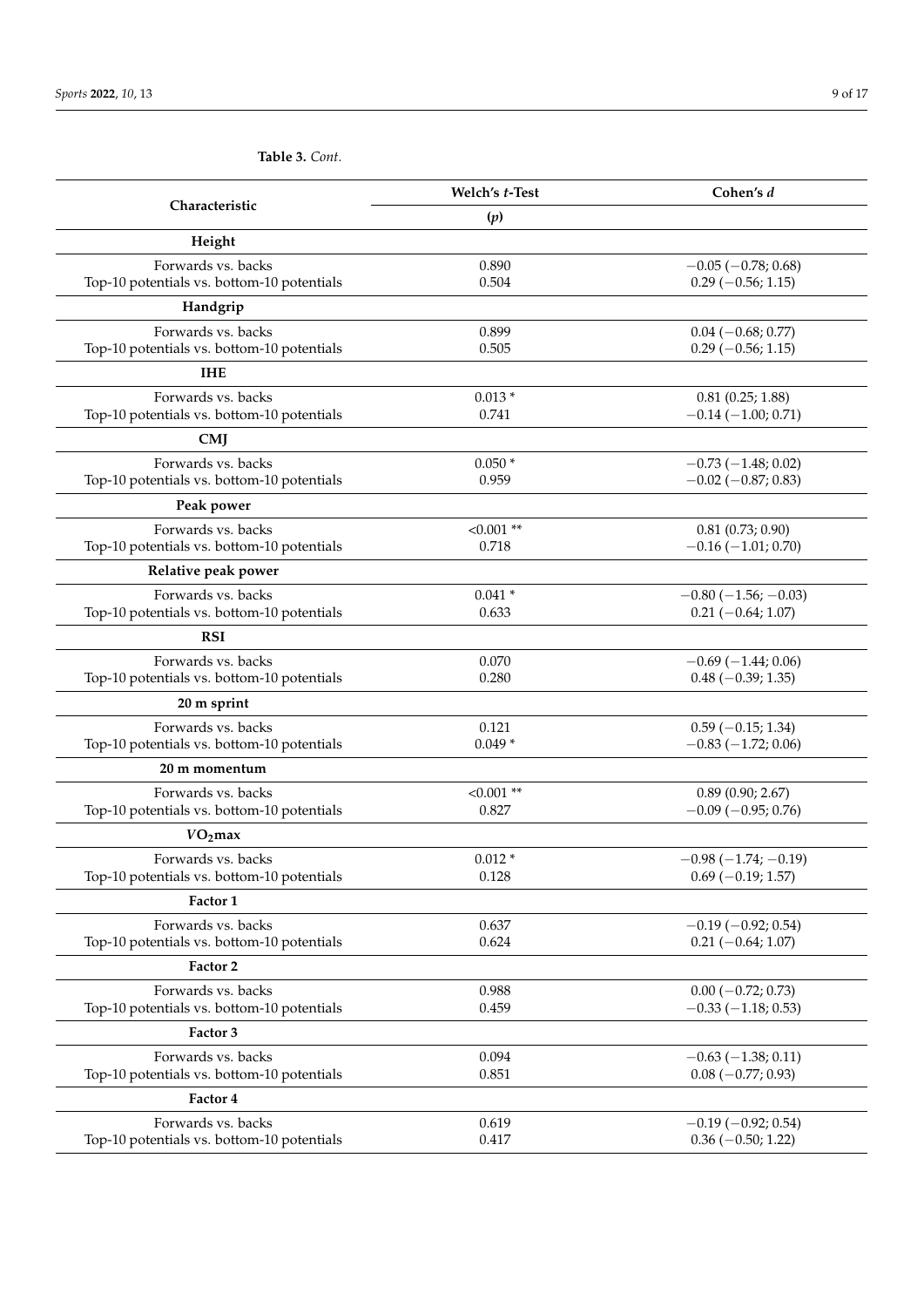|                                                                  | Welch's t-Test        | Cohen's d                                         |
|------------------------------------------------------------------|-----------------------|---------------------------------------------------|
| Characteristic                                                   | (p)                   |                                                   |
| Height                                                           |                       |                                                   |
| Forwards vs. backs                                               | 0.890                 | $-0.05$ ( $-0.78$ ; 0.68)                         |
| Top-10 potentials vs. bottom-10 potentials                       | 0.504                 | $0.29$ (-0.56; 1.15)                              |
| Handgrip                                                         |                       |                                                   |
| Forwards vs. backs                                               | 0.899                 | $0.04 (-0.68; 0.77)$                              |
| Top-10 potentials vs. bottom-10 potentials                       | 0.505                 | $0.29$ (-0.56; 1.15)                              |
| <b>IHE</b>                                                       |                       |                                                   |
| Forwards vs. backs<br>Top-10 potentials vs. bottom-10 potentials | $0.013*$<br>0.741     | 0.81(0.25; 1.88)<br>$-0.14(-1.00; 0.71)$          |
|                                                                  |                       |                                                   |
| <b>CMJ</b>                                                       |                       |                                                   |
| Forwards vs. backs<br>Top-10 potentials vs. bottom-10 potentials | $0.050*$<br>0.959     | $-0.73(-1.48; 0.02)$<br>$-0.02$ ( $-0.87; 0.83$ ) |
| Peak power                                                       |                       |                                                   |
| Forwards vs. backs                                               | $< 0.001$ **          | $0.81$ $(0.73; 0.90)$                             |
| Top-10 potentials vs. bottom-10 potentials                       | 0.718                 | $-0.16$ ( $-1.01$ ; 0.70)                         |
| Relative peak power                                              |                       |                                                   |
| Forwards vs. backs                                               | $0.041*$              | $-0.80$ ( $-1.56$ ; $-0.03$ )                     |
| Top-10 potentials vs. bottom-10 potentials                       | 0.633                 | $0.21 (-0.64; 1.07)$                              |
| <b>RSI</b>                                                       |                       |                                                   |
| Forwards vs. backs                                               | 0.070                 | $-0.69(-1.44;0.06)$                               |
| Top-10 potentials vs. bottom-10 potentials                       | 0.280                 | $0.48 (-0.39; 1.35)$                              |
| 20 m sprint                                                      |                       |                                                   |
| Forwards vs. backs                                               | 0.121<br>$0.049*$     | $0.59$ (-0.15; 1.34)<br>$-0.83(-1.72; 0.06)$      |
| Top-10 potentials vs. bottom-10 potentials                       |                       |                                                   |
| 20 m momentum                                                    |                       |                                                   |
| Forwards vs. backs<br>Top-10 potentials vs. bottom-10 potentials | $< 0.001$ **<br>0.827 | 0.89(0.90; 2.67)<br>$-0.09$ ( $-0.95$ ; 0.76)     |
| $VO2$ max                                                        |                       |                                                   |
| Forwards vs. backs                                               | $0.012*$              | $-0.98(-1.74; -0.19)$                             |
| Top-10 potentials vs. bottom-10 potentials                       | 0.128                 | $0.69$ (-0.19; 1.57)                              |
| Factor 1                                                         |                       |                                                   |
| Forwards vs. backs                                               | 0.637                 | $-0.19(-0.92; 0.54)$                              |
| Top-10 potentials vs. bottom-10 potentials                       | 0.624                 | $0.21 (-0.64; 1.07)$                              |
| Factor 2                                                         |                       |                                                   |
| Forwards vs. backs                                               | 0.988                 | $0.00 (-0.72; 0.73)$                              |
| Top-10 potentials vs. bottom-10 potentials                       | 0.459                 | $-0.33(-1.18; 0.53)$                              |
| Factor 3                                                         |                       |                                                   |
| Forwards vs. backs                                               | 0.094                 | $-0.63$ ( $-1.38$ ; 0.11)                         |
| Top-10 potentials vs. bottom-10 potentials                       | 0.851                 | $0.08 (-0.77; 0.93)$                              |
| Factor 4                                                         |                       |                                                   |
| Forwards vs. backs<br>Top-10 potentials vs. bottom-10 potentials | 0.619<br>0.417        | $-0.19(-0.92; 0.54)$<br>$0.36 (-0.50; 1.22)$      |
|                                                                  |                       |                                                   |

**Table 3.** *Cont.*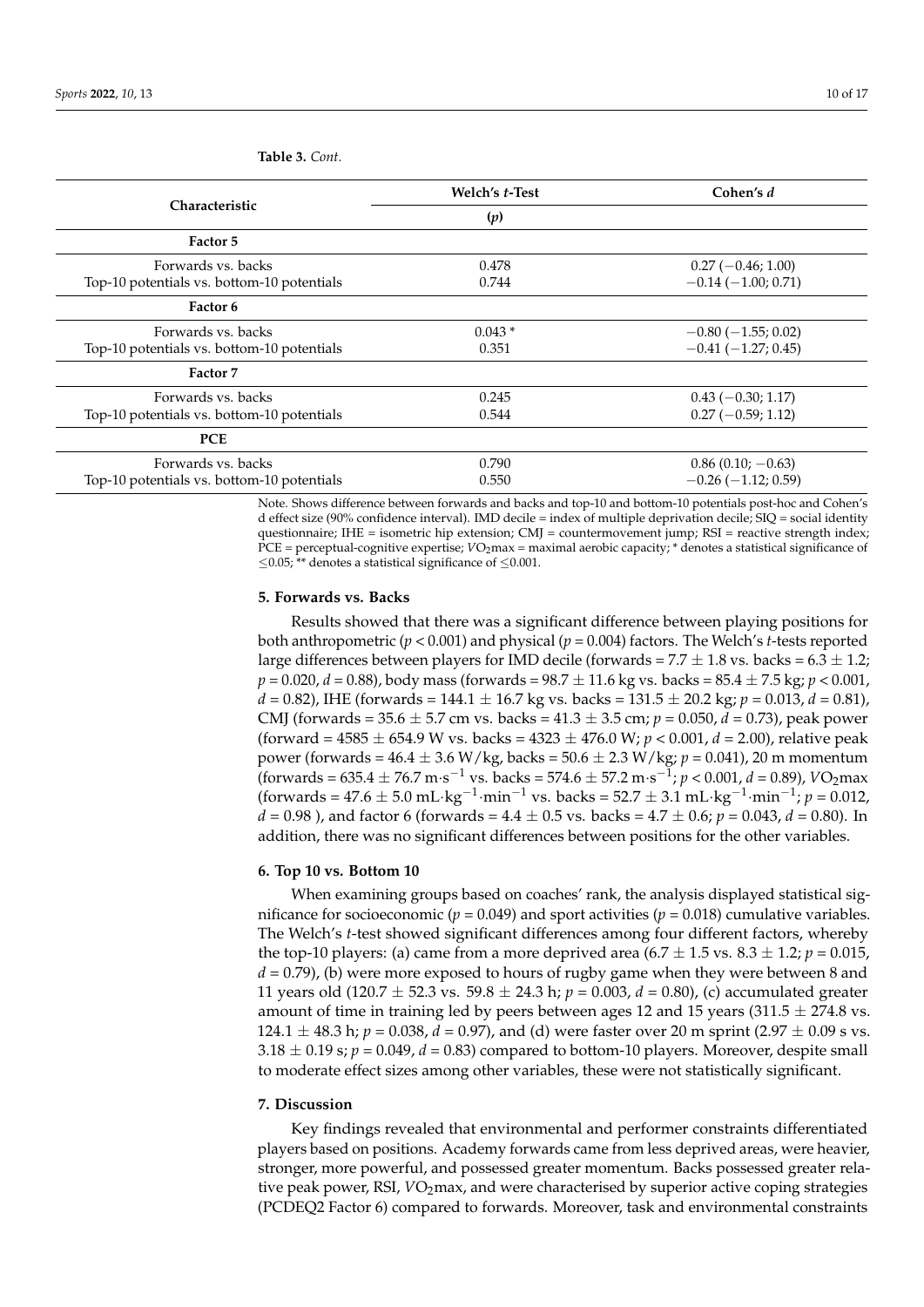|                                            | Welch's t-Test | Cohen's d                 |
|--------------------------------------------|----------------|---------------------------|
| <b>Characteristic</b>                      | (p)            |                           |
| Factor 5                                   |                |                           |
| Forwards vs. backs                         | 0.478          | $0.27(-0.46;1.00)$        |
| Top-10 potentials vs. bottom-10 potentials | 0.744          | $-0.14(-1.00; 0.71)$      |
| Factor 6                                   |                |                           |
| Forwards vs. backs                         | $0.043*$       | $-0.80$ ( $-1.55$ ; 0.02) |
| Top-10 potentials vs. bottom-10 potentials | 0.351          | $-0.41(-1.27; 0.45)$      |
| <b>Factor 7</b>                            |                |                           |
| Forwards vs. backs                         | 0.245          | $0.43(-0.30; 1.17)$       |
| Top-10 potentials vs. bottom-10 potentials | 0.544          | $0.27(-0.59; 1.12)$       |
| <b>PCE</b>                                 |                |                           |
| Forwards vs. backs                         | 0.790          | $0.86(0.10; -0.63)$       |
| Top-10 potentials vs. bottom-10 potentials | 0.550          | $-0.26$ ( $-1.12$ ; 0.59) |

<span id="page-9-0"></span>**Table 3.** *Cont.*

Note. Shows difference between forwards and backs and top-10 and bottom-10 potentials post-hoc and Cohen's d effect size (90% confidence interval). IMD decile = index of multiple deprivation decile; SIQ = social identity questionnaire; IHE = isometric hip extension; CMJ = countermovement jump; RSI = reactive strength index; PCE = perceptual-cognitive expertise; *VO*<sub>2</sub>max = maximal aerobic capacity; \* denotes a statistical significance of  $\leq$ 0.05; \*\* denotes a statistical significance of  $\leq$ 0.001.

#### **5. Forwards vs. Backs**

Results showed that there was a significant difference between playing positions for both anthropometric (*p* < 0.001) and physical (*p* = 0.004) factors. The Welch's *t*-tests reported large differences between players for IMD decile (forwards =  $7.7 \pm 1.8$  vs. backs =  $6.3 \pm 1.2$ ; *p* = 0.020, *d* = 0.88), body mass (forwards = 98.7 ± 11.6 kg vs. backs = 85.4 ± 7.5 kg; *p* < 0.001,  $d = 0.82$ ), IHE (forwards = 144.1  $\pm$  16.7 kg vs. backs = 131.5  $\pm$  20.2 kg;  $p = 0.013$ ,  $d = 0.81$ ), CMJ (forwards = 35.6 ± 5.7 cm vs. backs = 41.3 ± 3.5 cm; *p* = 0.050, *d* = 0.73), peak power (forward = 4585 ± 654.9 W vs. backs = 4323 ± 476.0 W; *p* < 0.001, *d* = 2.00), relative peak power (forwards = 46.4 ± 3.6 W/kg, backs = 50.6 ± 2.3 W/kg; *p* = 0.041), 20 m momentum  $($ forwards = 635.4  $\pm$  76.7 m·s<sup>-1</sup> vs. backs = 574.6  $\pm$  57.2 m·s<sup>-1</sup>; *p* < 0.001, *d* = 0.89), *V*O<sub>2</sub> max  $(\text{forward } = 47.6 \pm 5.0 \text{ mL} \cdot \text{kg}^{-1} \cdot \text{min}^{-1} \text{ vs. back } = 52.7 \pm 3.1 \text{ mL} \cdot \text{kg}^{-1} \cdot \text{min}^{-1}; p = 0.012,$  $d = 0.98$ ), and factor 6 (forwards =  $4.4 \pm 0.5$  vs. backs =  $4.7 \pm 0.6$ ;  $p = 0.043$ ,  $d = 0.80$ ). In addition, there was no significant differences between positions for the other variables.

#### **6. Top 10 vs. Bottom 10**

When examining groups based on coaches' rank, the analysis displayed statistical significance for socioeconomic ( $p = 0.049$ ) and sport activities ( $p = 0.018$ ) cumulative variables. The Welch's *t*-test showed significant differences among four different factors, whereby the top-10 players: (a) came from a more deprived area  $(6.7 \pm 1.5 \text{ vs. } 8.3 \pm 1.2; p = 0.015,$ *d* = 0.79), (b) were more exposed to hours of rugby game when they were between 8 and 11 years old (120.7 ± 52.3 vs. 59.8 ± 24.3 h; *p* = 0.003, *d* = 0.80), (c) accumulated greater amount of time in training led by peers between ages 12 and 15 years (311.5  $\pm$  274.8 vs. 124.1  $\pm$  48.3 h; *p* = 0.038, *d* = 0.97), and (d) were faster over 20 m sprint (2.97  $\pm$  0.09 s vs.  $3.18 \pm 0.19$  s;  $p = 0.049$ ,  $d = 0.83$ ) compared to bottom-10 players. Moreover, despite small to moderate effect sizes among other variables, these were not statistically significant.

#### **7. Discussion**

Key findings revealed that environmental and performer constraints differentiated players based on positions. Academy forwards came from less deprived areas, were heavier, stronger, more powerful, and possessed greater momentum. Backs possessed greater relative peak power, RSI,  $VO<sub>2</sub>max$ , and were characterised by superior active coping strategies (PCDEQ2 Factor 6) compared to forwards. Moreover, task and environmental constraints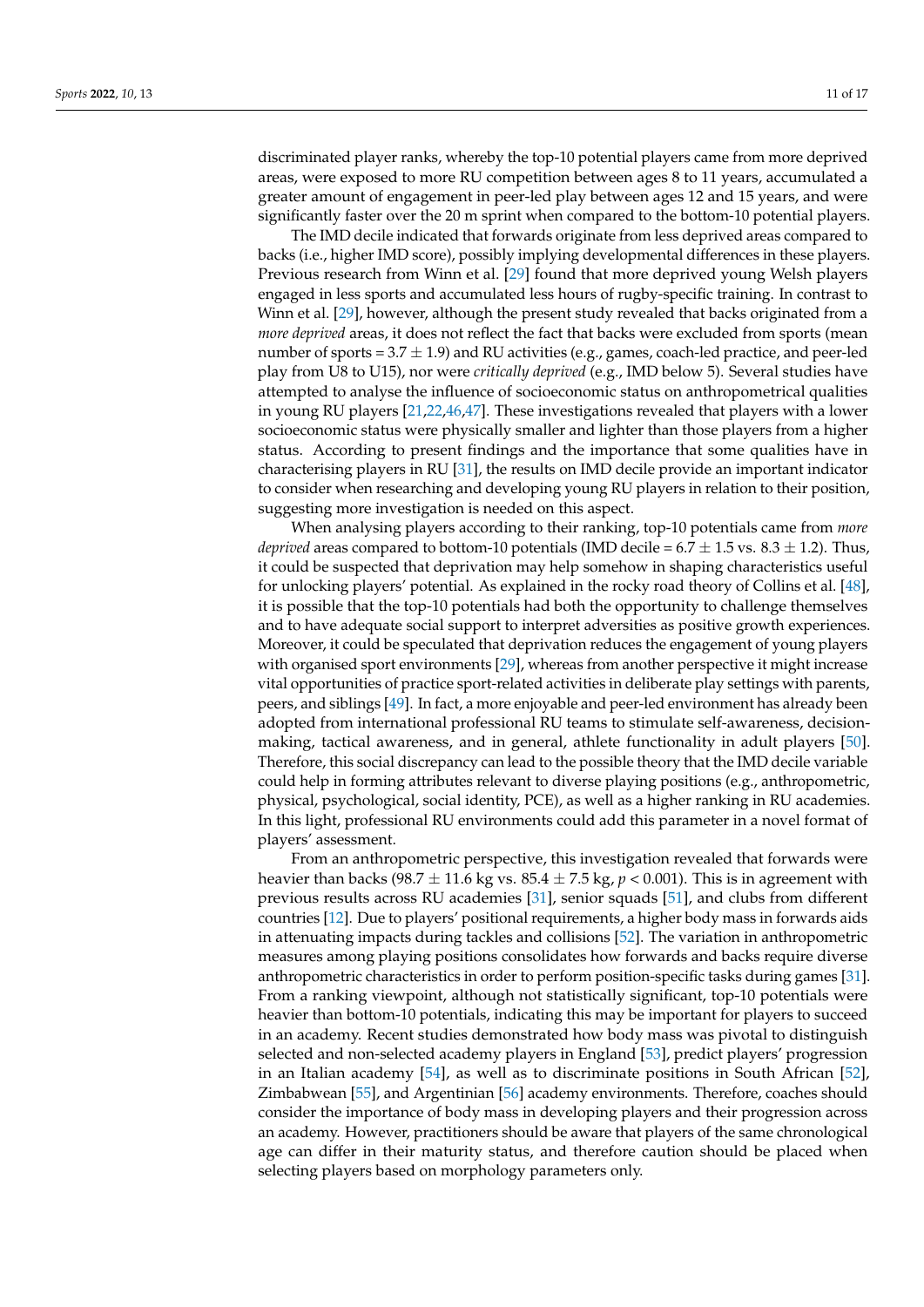discriminated player ranks, whereby the top-10 potential players came from more deprived areas, were exposed to more RU competition between ages 8 to 11 years, accumulated a greater amount of engagement in peer-led play between ages 12 and 15 years, and were significantly faster over the 20 m sprint when compared to the bottom-10 potential players.

The IMD decile indicated that forwards originate from less deprived areas compared to backs (i.e., higher IMD score), possibly implying developmental differences in these players. Previous research from Winn et al. [\[29\]](#page-15-5) found that more deprived young Welsh players engaged in less sports and accumulated less hours of rugby-specific training. In contrast to Winn et al. [\[29\]](#page-15-5), however, although the present study revealed that backs originated from a *more deprived* areas, it does not reflect the fact that backs were excluded from sports (mean number of sports =  $3.7 \pm 1.9$ ) and RU activities (e.g., games, coach-led practice, and peer-led play from U8 to U15), nor were *critically deprived* (e.g., IMD below 5). Several studies have attempted to analyse the influence of socioeconomic status on anthropometrical qualities in young RU players [\[21,](#page-14-15)[22,](#page-14-16)[46,](#page-15-22)[47\]](#page-15-23). These investigations revealed that players with a lower socioeconomic status were physically smaller and lighter than those players from a higher status. According to present findings and the importance that some qualities have in characterising players in RU [\[31\]](#page-15-7), the results on IMD decile provide an important indicator to consider when researching and developing young RU players in relation to their position, suggesting more investigation is needed on this aspect.

When analysing players according to their ranking, top-10 potentials came from *more deprived* areas compared to bottom-10 potentials (IMD decile =  $6.7 \pm 1.5$  vs.  $8.3 \pm 1.2$ ). Thus, it could be suspected that deprivation may help somehow in shaping characteristics useful for unlocking players' potential. As explained in the rocky road theory of Collins et al. [\[48\]](#page-15-24), it is possible that the top-10 potentials had both the opportunity to challenge themselves and to have adequate social support to interpret adversities as positive growth experiences. Moreover, it could be speculated that deprivation reduces the engagement of young players with organised sport environments [\[29\]](#page-15-5), whereas from another perspective it might increase vital opportunities of practice sport-related activities in deliberate play settings with parents, peers, and siblings [\[49\]](#page-15-25). In fact, a more enjoyable and peer-led environment has already been adopted from international professional RU teams to stimulate self-awareness, decisionmaking, tactical awareness, and in general, athlete functionality in adult players [\[50\]](#page-15-26). Therefore, this social discrepancy can lead to the possible theory that the IMD decile variable could help in forming attributes relevant to diverse playing positions (e.g., anthropometric, physical, psychological, social identity, PCE), as well as a higher ranking in RU academies. In this light, professional RU environments could add this parameter in a novel format of players' assessment.

From an anthropometric perspective, this investigation revealed that forwards were heavier than backs (98.7  $\pm$  11.6 kg vs. 85.4  $\pm$  7.5 kg,  $p < 0.001$ ). This is in agreement with previous results across RU academies [\[31\]](#page-15-7), senior squads [\[51\]](#page-15-27), and clubs from different countries [\[12\]](#page-14-7). Due to players' positional requirements, a higher body mass in forwards aids in attenuating impacts during tackles and collisions [\[52\]](#page-15-28). The variation in anthropometric measures among playing positions consolidates how forwards and backs require diverse anthropometric characteristics in order to perform position-specific tasks during games [\[31\]](#page-15-7). From a ranking viewpoint, although not statistically significant, top-10 potentials were heavier than bottom-10 potentials, indicating this may be important for players to succeed in an academy. Recent studies demonstrated how body mass was pivotal to distinguish selected and non-selected academy players in England [\[53\]](#page-16-0), predict players' progression in an Italian academy [\[54\]](#page-16-1), as well as to discriminate positions in South African [\[52\]](#page-15-28), Zimbabwean [\[55\]](#page-16-2), and Argentinian [\[56\]](#page-16-3) academy environments. Therefore, coaches should consider the importance of body mass in developing players and their progression across an academy. However, practitioners should be aware that players of the same chronological age can differ in their maturity status, and therefore caution should be placed when selecting players based on morphology parameters only.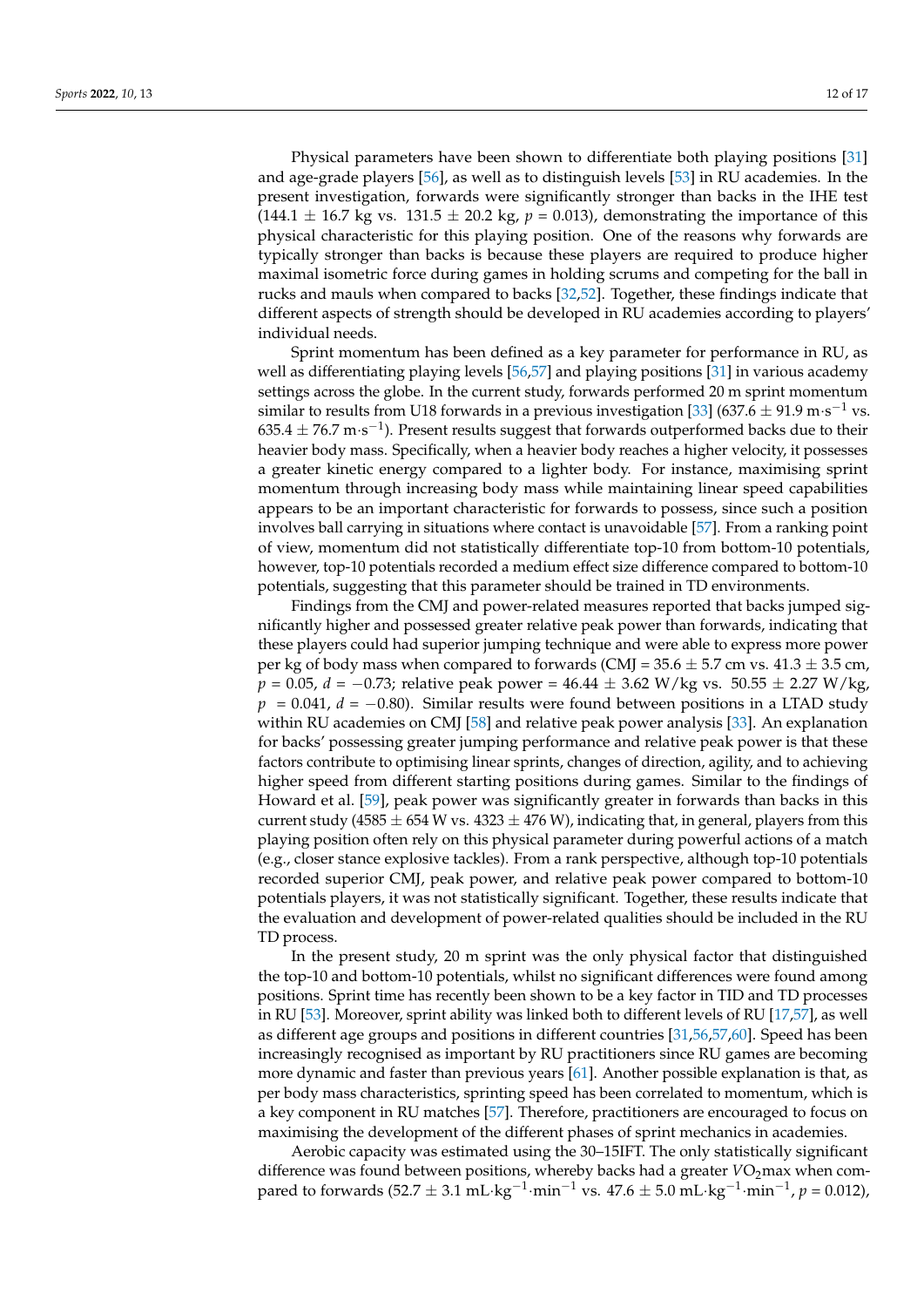Physical parameters have been shown to differentiate both playing positions [\[31\]](#page-15-7) and age-grade players [\[56\]](#page-16-3), as well as to distinguish levels [\[53\]](#page-16-0) in RU academies. In the present investigation, forwards were significantly stronger than backs in the IHE test  $(144.1 \pm 16.7 \text{ kg vs. } 131.5 \pm 20.2 \text{ kg}, p = 0.013)$ , demonstrating the importance of this physical characteristic for this playing position. One of the reasons why forwards are typically stronger than backs is because these players are required to produce higher maximal isometric force during games in holding scrums and competing for the ball in rucks and mauls when compared to backs [\[32,](#page-15-8)[52\]](#page-15-28). Together, these findings indicate that different aspects of strength should be developed in RU academies according to players' individual needs.

Sprint momentum has been defined as a key parameter for performance in RU, as well as differentiating playing levels [\[56](#page-16-3)[,57\]](#page-16-4) and playing positions [\[31\]](#page-15-7) in various academy settings across the globe. In the current study, forwards performed 20 m sprint momentum similar to results from U18 forwards in a previous investigation [\[33\]](#page-15-9) (637.6  $\pm$  91.9 m·s<sup>-1</sup> vs.  $635.4 \pm 76.7$  m·s<sup>-1</sup>). Present results suggest that forwards outperformed backs due to their heavier body mass. Specifically, when a heavier body reaches a higher velocity, it possesses a greater kinetic energy compared to a lighter body. For instance, maximising sprint momentum through increasing body mass while maintaining linear speed capabilities appears to be an important characteristic for forwards to possess, since such a position involves ball carrying in situations where contact is unavoidable [\[57\]](#page-16-4). From a ranking point of view, momentum did not statistically differentiate top-10 from bottom-10 potentials, however, top-10 potentials recorded a medium effect size difference compared to bottom-10 potentials, suggesting that this parameter should be trained in TD environments.

Findings from the CMJ and power-related measures reported that backs jumped significantly higher and possessed greater relative peak power than forwards, indicating that these players could had superior jumping technique and were able to express more power per kg of body mass when compared to forwards (CMJ =  $35.6 \pm 5.7$  cm vs.  $41.3 \pm 3.5$  cm, *p* = 0.05, *d* = −0.73; relative peak power = 46.44 ± 3.62 W/kg vs. 50.55 ± 2.27 W/kg, *p* = 0.041, *d* = −0.80). Similar results were found between positions in a LTAD study within RU academies on CMJ [\[58\]](#page-16-5) and relative peak power analysis [\[33\]](#page-15-9). An explanation for backs' possessing greater jumping performance and relative peak power is that these factors contribute to optimising linear sprints, changes of direction, agility, and to achieving higher speed from different starting positions during games. Similar to the findings of Howard et al. [\[59\]](#page-16-6), peak power was significantly greater in forwards than backs in this current study (4585  $\pm$  654 W vs. 4323  $\pm$  476 W), indicating that, in general, players from this playing position often rely on this physical parameter during powerful actions of a match (e.g., closer stance explosive tackles). From a rank perspective, although top-10 potentials recorded superior CMJ, peak power, and relative peak power compared to bottom-10 potentials players, it was not statistically significant. Together, these results indicate that the evaluation and development of power-related qualities should be included in the RU TD process.

In the present study, 20 m sprint was the only physical factor that distinguished the top-10 and bottom-10 potentials, whilst no significant differences were found among positions. Sprint time has recently been shown to be a key factor in TID and TD processes in RU [\[53\]](#page-16-0). Moreover, sprint ability was linked both to different levels of RU [\[17](#page-14-11)[,57\]](#page-16-4), as well as different age groups and positions in different countries [\[31](#page-15-7)[,56](#page-16-3)[,57](#page-16-4)[,60\]](#page-16-7). Speed has been increasingly recognised as important by RU practitioners since RU games are becoming more dynamic and faster than previous years [\[61\]](#page-16-8). Another possible explanation is that, as per body mass characteristics, sprinting speed has been correlated to momentum, which is a key component in RU matches [\[57\]](#page-16-4). Therefore, practitioners are encouraged to focus on maximising the development of the different phases of sprint mechanics in academies.

Aerobic capacity was estimated using the 30–15IFT. The only statistically significant difference was found between positions, whereby backs had a greater *VO*<sub>2</sub>max when compared to forwards (52.7  $\pm$  3.1 mL·kg<sup>-1</sup>·min<sup>-1</sup> vs. 47.6  $\pm$  5.0 mL·kg<sup>-1</sup>·min<sup>-1</sup>,  $p = 0.012$ ),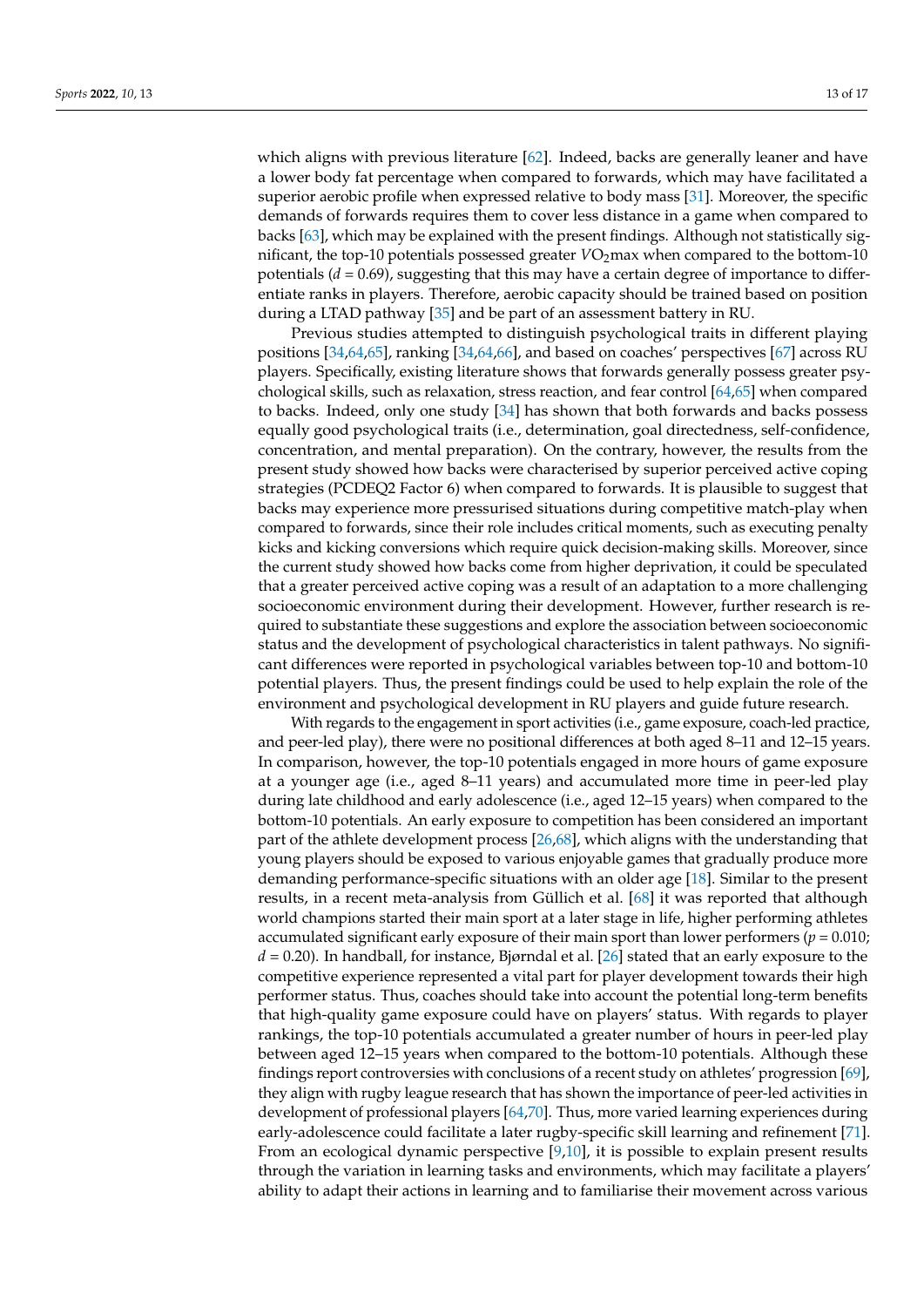which aligns with previous literature [\[62\]](#page-16-9). Indeed, backs are generally leaner and have a lower body fat percentage when compared to forwards, which may have facilitated a superior aerobic profile when expressed relative to body mass [\[31\]](#page-15-7). Moreover, the specific demands of forwards requires them to cover less distance in a game when compared to backs [\[63\]](#page-16-10), which may be explained with the present findings. Although not statistically significant, the top-10 potentials possessed greater  $VO<sub>2</sub>$ max when compared to the bottom-10 potentials  $(d = 0.69)$ , suggesting that this may have a certain degree of importance to differentiate ranks in players. Therefore, aerobic capacity should be trained based on position during a LTAD pathway [\[35\]](#page-15-11) and be part of an assessment battery in RU.

Previous studies attempted to distinguish psychological traits in different playing positions [\[34](#page-15-10)[,64](#page-16-11)[,65\]](#page-16-12), ranking [\[34](#page-15-10)[,64](#page-16-11)[,66\]](#page-16-13), and based on coaches' perspectives [\[67\]](#page-16-14) across RU players. Specifically, existing literature shows that forwards generally possess greater psychological skills, such as relaxation, stress reaction, and fear control [\[64](#page-16-11)[,65\]](#page-16-12) when compared to backs. Indeed, only one study [\[34\]](#page-15-10) has shown that both forwards and backs possess equally good psychological traits (i.e., determination, goal directedness, self-confidence, concentration, and mental preparation). On the contrary, however, the results from the present study showed how backs were characterised by superior perceived active coping strategies (PCDEQ2 Factor 6) when compared to forwards. It is plausible to suggest that backs may experience more pressurised situations during competitive match-play when compared to forwards, since their role includes critical moments, such as executing penalty kicks and kicking conversions which require quick decision-making skills. Moreover, since the current study showed how backs come from higher deprivation, it could be speculated that a greater perceived active coping was a result of an adaptation to a more challenging socioeconomic environment during their development. However, further research is required to substantiate these suggestions and explore the association between socioeconomic status and the development of psychological characteristics in talent pathways. No significant differences were reported in psychological variables between top-10 and bottom-10 potential players. Thus, the present findings could be used to help explain the role of the environment and psychological development in RU players and guide future research.

With regards to the engagement in sport activities (i.e., game exposure, coach-led practice, and peer-led play), there were no positional differences at both aged 8–11 and 12–15 years. In comparison, however, the top-10 potentials engaged in more hours of game exposure at a younger age (i.e., aged 8–11 years) and accumulated more time in peer-led play during late childhood and early adolescence (i.e., aged 12–15 years) when compared to the bottom-10 potentials. An early exposure to competition has been considered an important part of the athlete development process [\[26](#page-15-2)[,68\]](#page-16-15), which aligns with the understanding that young players should be exposed to various enjoyable games that gradually produce more demanding performance-specific situations with an older age [\[18\]](#page-14-12). Similar to the present results, in a recent meta-analysis from Güllich et al. [\[68\]](#page-16-15) it was reported that although world champions started their main sport at a later stage in life, higher performing athletes accumulated significant early exposure of their main sport than lower performers ( $p = 0.010$ ; *d* = 0.20). In handball, for instance, Bjørndal et al. [\[26\]](#page-15-2) stated that an early exposure to the competitive experience represented a vital part for player development towards their high performer status. Thus, coaches should take into account the potential long-term benefits that high-quality game exposure could have on players' status. With regards to player rankings, the top-10 potentials accumulated a greater number of hours in peer-led play between aged 12–15 years when compared to the bottom-10 potentials. Although these findings report controversies with conclusions of a recent study on athletes' progression [\[69\]](#page-16-16), they align with rugby league research that has shown the importance of peer-led activities in development of professional players [\[64,](#page-16-11)[70\]](#page-16-17). Thus, more varied learning experiences during early-adolescence could facilitate a later rugby-specific skill learning and refinement [\[71\]](#page-16-18). From an ecological dynamic perspective [\[9,](#page-14-4)[10\]](#page-14-5), it is possible to explain present results through the variation in learning tasks and environments, which may facilitate a players' ability to adapt their actions in learning and to familiarise their movement across various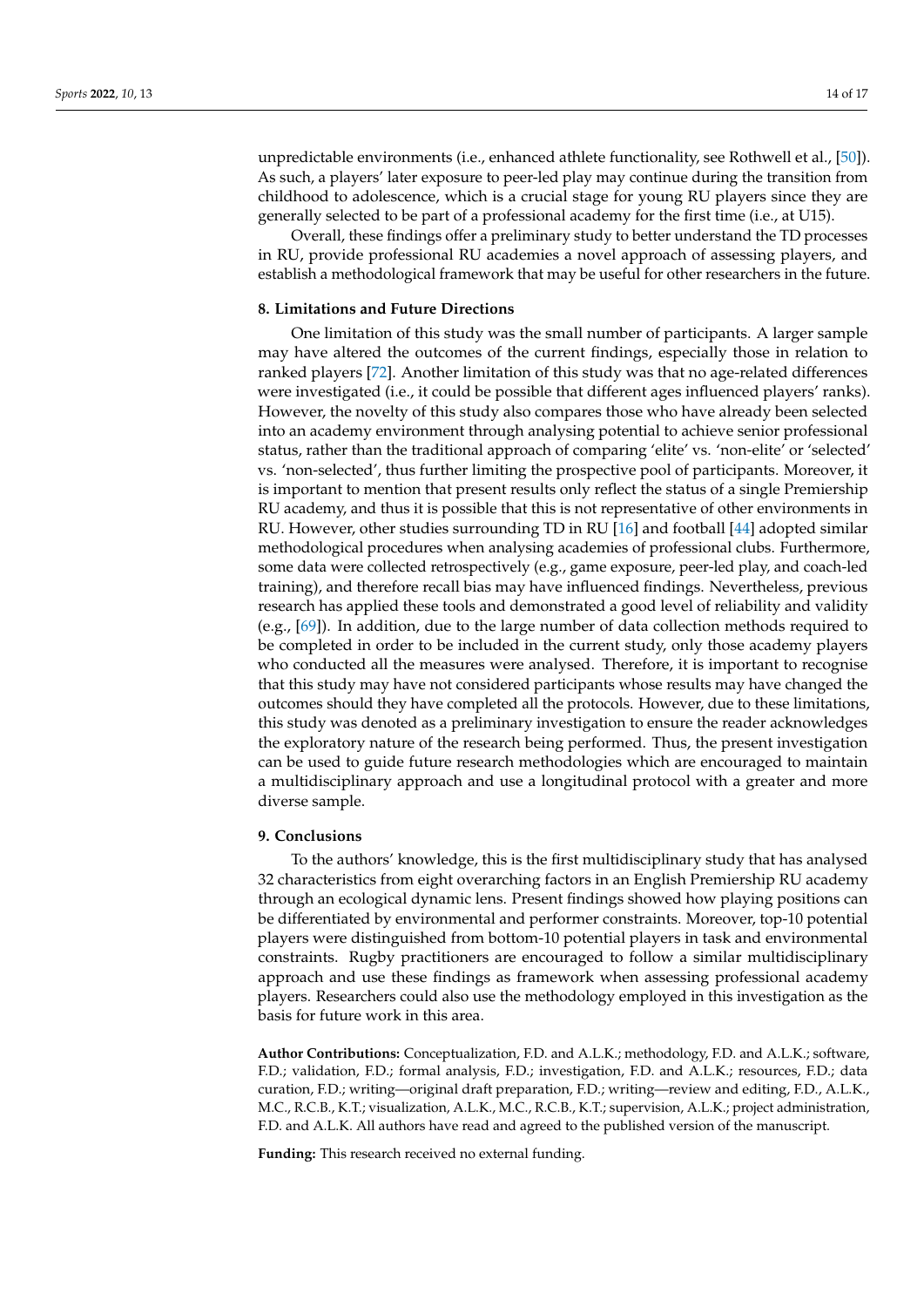unpredictable environments (i.e., enhanced athlete functionality, see Rothwell et al., [\[50\]](#page-15-26)). As such, a players' later exposure to peer-led play may continue during the transition from childhood to adolescence, which is a crucial stage for young RU players since they are generally selected to be part of a professional academy for the first time (i.e., at U15).

Overall, these findings offer a preliminary study to better understand the TD processes in RU, provide professional RU academies a novel approach of assessing players, and establish a methodological framework that may be useful for other researchers in the future.

#### **8. Limitations and Future Directions**

One limitation of this study was the small number of participants. A larger sample may have altered the outcomes of the current findings, especially those in relation to ranked players [\[72\]](#page-16-19). Another limitation of this study was that no age-related differences were investigated (i.e., it could be possible that different ages influenced players' ranks). However, the novelty of this study also compares those who have already been selected into an academy environment through analysing potential to achieve senior professional status, rather than the traditional approach of comparing 'elite' vs. 'non-elite' or 'selected' vs. 'non-selected', thus further limiting the prospective pool of participants. Moreover, it is important to mention that present results only reflect the status of a single Premiership RU academy, and thus it is possible that this is not representative of other environments in RU. However, other studies surrounding TD in RU [\[16\]](#page-14-10) and football [\[44\]](#page-15-20) adopted similar methodological procedures when analysing academies of professional clubs. Furthermore, some data were collected retrospectively (e.g., game exposure, peer-led play, and coach-led training), and therefore recall bias may have influenced findings. Nevertheless, previous research has applied these tools and demonstrated a good level of reliability and validity (e.g., [\[69\]](#page-16-16)). In addition, due to the large number of data collection methods required to be completed in order to be included in the current study, only those academy players who conducted all the measures were analysed. Therefore, it is important to recognise that this study may have not considered participants whose results may have changed the outcomes should they have completed all the protocols. However, due to these limitations, this study was denoted as a preliminary investigation to ensure the reader acknowledges the exploratory nature of the research being performed. Thus, the present investigation can be used to guide future research methodologies which are encouraged to maintain a multidisciplinary approach and use a longitudinal protocol with a greater and more diverse sample.

#### **9. Conclusions**

To the authors' knowledge, this is the first multidisciplinary study that has analysed 32 characteristics from eight overarching factors in an English Premiership RU academy through an ecological dynamic lens. Present findings showed how playing positions can be differentiated by environmental and performer constraints. Moreover, top-10 potential players were distinguished from bottom-10 potential players in task and environmental constraints. Rugby practitioners are encouraged to follow a similar multidisciplinary approach and use these findings as framework when assessing professional academy players. Researchers could also use the methodology employed in this investigation as the basis for future work in this area.

**Author Contributions:** Conceptualization, F.D. and A.L.K.; methodology, F.D. and A.L.K.; software, F.D.; validation, F.D.; formal analysis, F.D.; investigation, F.D. and A.L.K.; resources, F.D.; data curation, F.D.; writing—original draft preparation, F.D.; writing—review and editing, F.D., A.L.K., M.C., R.C.B., K.T.; visualization, A.L.K., M.C., R.C.B., K.T.; supervision, A.L.K.; project administration, F.D. and A.L.K. All authors have read and agreed to the published version of the manuscript.

**Funding:** This research received no external funding.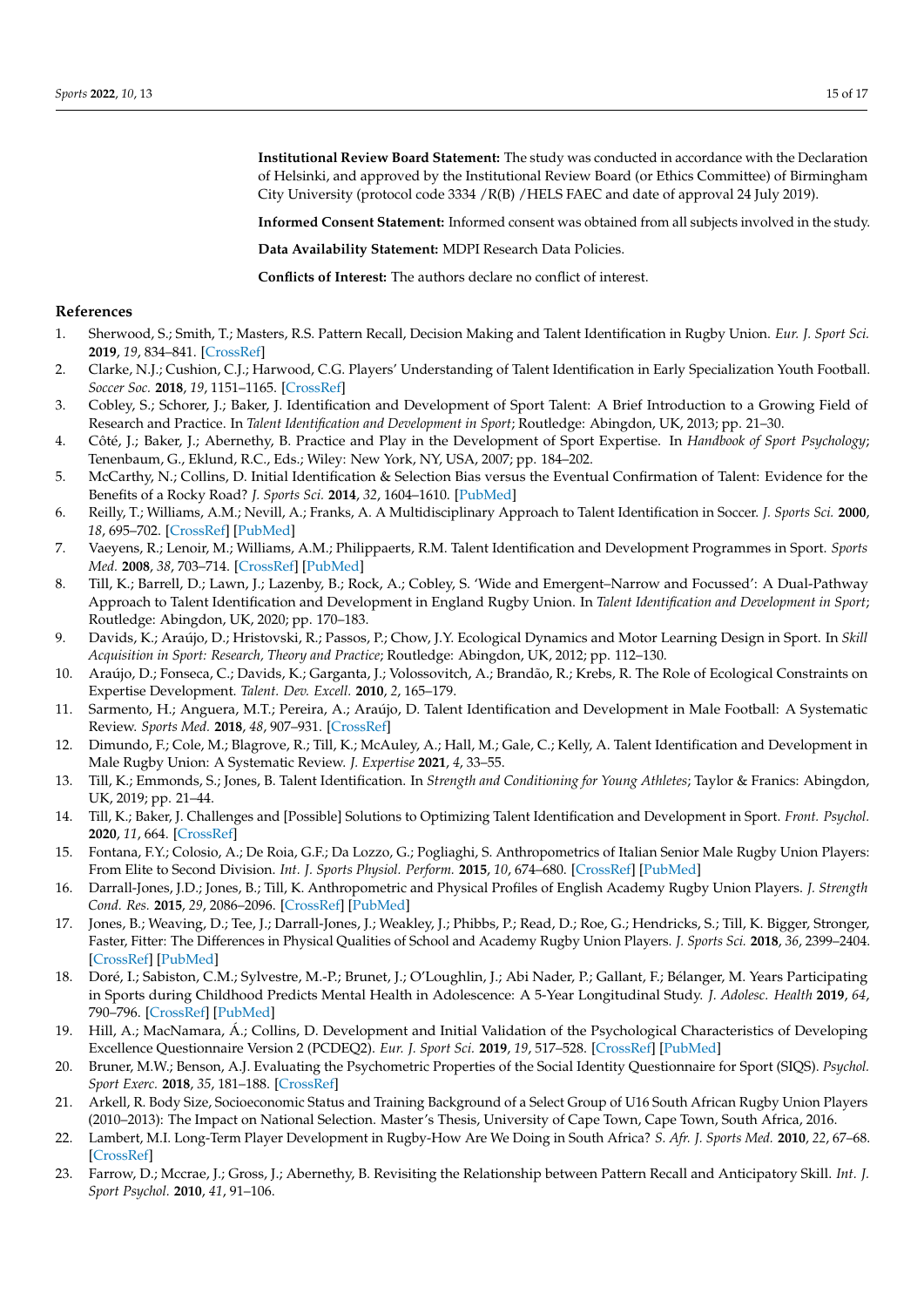**Institutional Review Board Statement:** The study was conducted in accordance with the Declaration of Helsinki, and approved by the Institutional Review Board (or Ethics Committee) of Birmingham City University (protocol code 3334 /R(B) /HELS FAEC and date of approval 24 July 2019).

**Informed Consent Statement:** Informed consent was obtained from all subjects involved in the study.

**Data Availability Statement:** MDPI Research Data Policies.

**Conflicts of Interest:** The authors declare no conflict of interest.

#### **References**

- <span id="page-14-0"></span>1. Sherwood, S.; Smith, T.; Masters, R.S. Pattern Recall, Decision Making and Talent Identification in Rugby Union. *Eur. J. Sport Sci.* **2019**, *19*, 834–841. [\[CrossRef\]](http://doi.org/10.1080/17461391.2018.1545051)
- <span id="page-14-1"></span>2. Clarke, N.J.; Cushion, C.J.; Harwood, C.G. Players' Understanding of Talent Identification in Early Specialization Youth Football. *Soccer Soc.* **2018**, *19*, 1151–1165. [\[CrossRef\]](http://doi.org/10.1080/14660970.2018.1432388)
- <span id="page-14-18"></span>3. Cobley, S.; Schorer, J.; Baker, J. Identification and Development of Sport Talent: A Brief Introduction to a Growing Field of Research and Practice. In *Talent Identification and Development in Sport*; Routledge: Abingdon, UK, 2013; pp. 21–30.
- 4. Côté, J.; Baker, J.; Abernethy, B. Practice and Play in the Development of Sport Expertise. In *Handbook of Sport Psychology*; Tenenbaum, G., Eklund, R.C., Eds.; Wiley: New York, NY, USA, 2007; pp. 184–202.
- 5. McCarthy, N.; Collins, D. Initial Identification & Selection Bias versus the Eventual Confirmation of Talent: Evidence for the Benefits of a Rocky Road? *J. Sports Sci.* **2014**, *32*, 1604–1610. [\[PubMed\]](http://www.ncbi.nlm.nih.gov/pubmed/24857164)
- 6. Reilly, T.; Williams, A.M.; Nevill, A.; Franks, A. A Multidisciplinary Approach to Talent Identification in Soccer. *J. Sports Sci.* **2000**, *18*, 695–702. [\[CrossRef\]](http://doi.org/10.1080/02640410050120078) [\[PubMed\]](http://www.ncbi.nlm.nih.gov/pubmed/11043895)
- <span id="page-14-2"></span>7. Vaeyens, R.; Lenoir, M.; Williams, A.M.; Philippaerts, R.M. Talent Identification and Development Programmes in Sport. *Sports Med.* **2008**, *38*, 703–714. [\[CrossRef\]](http://doi.org/10.2165/00007256-200838090-00001) [\[PubMed\]](http://www.ncbi.nlm.nih.gov/pubmed/18712939)
- <span id="page-14-3"></span>8. Till, K.; Barrell, D.; Lawn, J.; Lazenby, B.; Rock, A.; Cobley, S. 'Wide and Emergent–Narrow and Focussed': A Dual-Pathway Approach to Talent Identification and Development in England Rugby Union. In *Talent Identification and Development in Sport*; Routledge: Abingdon, UK, 2020; pp. 170–183.
- <span id="page-14-4"></span>9. Davids, K.; Araújo, D.; Hristovski, R.; Passos, P.; Chow, J.Y. Ecological Dynamics and Motor Learning Design in Sport. In *Skill Acquisition in Sport: Research, Theory and Practice*; Routledge: Abingdon, UK, 2012; pp. 112–130.
- <span id="page-14-5"></span>10. Araújo, D.; Fonseca, C.; Davids, K.; Garganta, J.; Volossovitch, A.; Brandão, R.; Krebs, R. The Role of Ecological Constraints on Expertise Development. *Talent. Dev. Excell.* **2010**, *2*, 165–179.
- <span id="page-14-6"></span>11. Sarmento, H.; Anguera, M.T.; Pereira, A.; Araújo, D. Talent Identification and Development in Male Football: A Systematic Review. *Sports Med.* **2018**, *48*, 907–931. [\[CrossRef\]](http://doi.org/10.1007/s40279-017-0851-7)
- <span id="page-14-7"></span>12. Dimundo, F.; Cole, M.; Blagrove, R.; Till, K.; McAuley, A.; Hall, M.; Gale, C.; Kelly, A. Talent Identification and Development in Male Rugby Union: A Systematic Review. *J. Expertise* **2021**, *4*, 33–55.
- 13. Till, K.; Emmonds, S.; Jones, B. Talent Identification. In *Strength and Conditioning for Young Athletes*; Taylor & Franics: Abingdon, UK, 2019; pp. 21–44.
- <span id="page-14-8"></span>14. Till, K.; Baker, J. Challenges and [Possible] Solutions to Optimizing Talent Identification and Development in Sport. *Front. Psychol.* **2020**, *11*, 664. [\[CrossRef\]](http://doi.org/10.3389/fpsyg.2020.00664)
- <span id="page-14-9"></span>15. Fontana, F.Y.; Colosio, A.; De Roia, G.F.; Da Lozzo, G.; Pogliaghi, S. Anthropometrics of Italian Senior Male Rugby Union Players: From Elite to Second Division. *Int. J. Sports Physiol. Perform.* **2015**, *10*, 674–680. [\[CrossRef\]](http://doi.org/10.1123/ijspp.2015-0014) [\[PubMed\]](http://www.ncbi.nlm.nih.gov/pubmed/25932593)
- <span id="page-14-10"></span>16. Darrall-Jones, J.D.; Jones, B.; Till, K. Anthropometric and Physical Profiles of English Academy Rugby Union Players. *J. Strength Cond. Res.* **2015**, *29*, 2086–2096. [\[CrossRef\]](http://doi.org/10.1519/JSC.0000000000000872) [\[PubMed\]](http://www.ncbi.nlm.nih.gov/pubmed/25647656)
- <span id="page-14-11"></span>17. Jones, B.; Weaving, D.; Tee, J.; Darrall-Jones, J.; Weakley, J.; Phibbs, P.; Read, D.; Roe, G.; Hendricks, S.; Till, K. Bigger, Stronger, Faster, Fitter: The Differences in Physical Qualities of School and Academy Rugby Union Players. *J. Sports Sci.* **2018**, *36*, 2399–2404. [\[CrossRef\]](http://doi.org/10.1080/02640414.2018.1458589) [\[PubMed\]](http://www.ncbi.nlm.nih.gov/pubmed/29608414)
- <span id="page-14-12"></span>18. Doré, I.; Sabiston, C.M.; Sylvestre, M.-P.; Brunet, J.; O'Loughlin, J.; Abi Nader, P.; Gallant, F.; Bélanger, M. Years Participating in Sports during Childhood Predicts Mental Health in Adolescence: A 5-Year Longitudinal Study. *J. Adolesc. Health* **2019**, *64*, 790–796. [\[CrossRef\]](http://doi.org/10.1016/j.jadohealth.2018.11.024) [\[PubMed\]](http://www.ncbi.nlm.nih.gov/pubmed/31122508)
- <span id="page-14-13"></span>19. Hill, A.; MacNamara, Á.; Collins, D. Development and Initial Validation of the Psychological Characteristics of Developing Excellence Questionnaire Version 2 (PCDEQ2). *Eur. J. Sport Sci.* **2019**, *19*, 517–528. [\[CrossRef\]](http://doi.org/10.1080/17461391.2018.1535627) [\[PubMed\]](http://www.ncbi.nlm.nih.gov/pubmed/30362895)
- <span id="page-14-14"></span>20. Bruner, M.W.; Benson, A.J. Evaluating the Psychometric Properties of the Social Identity Questionnaire for Sport (SIQS). *Psychol. Sport Exerc.* **2018**, *35*, 181–188. [\[CrossRef\]](http://doi.org/10.1016/j.psychsport.2017.12.006)
- <span id="page-14-15"></span>21. Arkell, R. Body Size, Socioeconomic Status and Training Background of a Select Group of U16 South African Rugby Union Players (2010–2013): The Impact on National Selection. Master's Thesis, University of Cape Town, Cape Town, South Africa, 2016.
- <span id="page-14-16"></span>22. Lambert, M.I. Long-Term Player Development in Rugby-How Are We Doing in South Africa? *S. Afr. J. Sports Med.* **2010**, *22*, 67–68. [\[CrossRef\]](http://doi.org/10.17159/2078-516X/2010/v22i3a312)
- <span id="page-14-17"></span>23. Farrow, D.; Mccrae, J.; Gross, J.; Abernethy, B. Revisiting the Relationship between Pattern Recall and Anticipatory Skill. *Int. J. Sport Psychol.* **2010**, *41*, 91–106.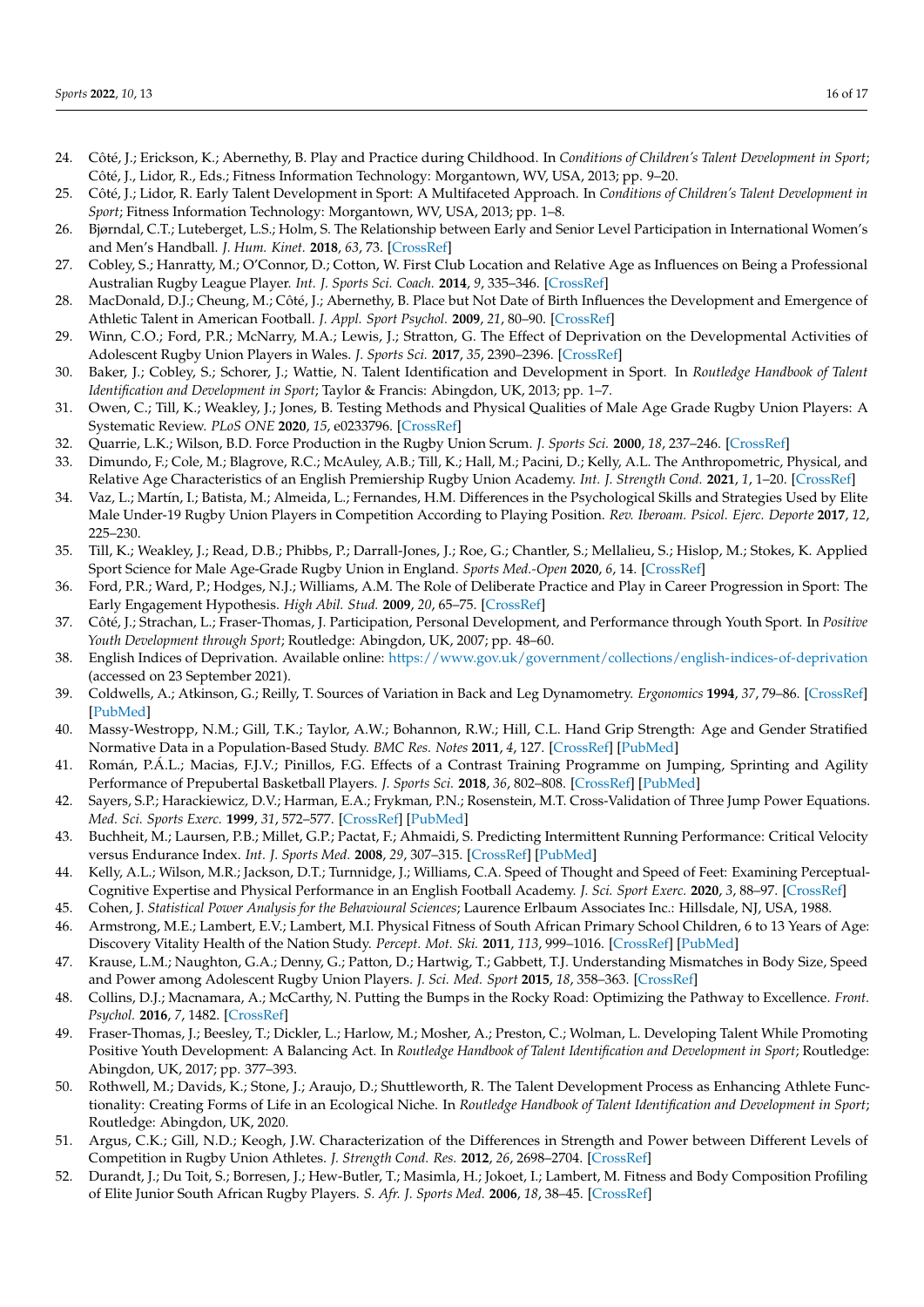- <span id="page-15-0"></span>24. Côté, J.; Erickson, K.; Abernethy, B. Play and Practice during Childhood. In *Conditions of Children's Talent Development in Sport*; Côté, J., Lidor, R., Eds.; Fitness Information Technology: Morgantown, WV, USA, 2013; pp. 9–20.
- <span id="page-15-1"></span>25. Côté, J.; Lidor, R. Early Talent Development in Sport: A Multifaceted Approach. In *Conditions of Children's Talent Development in Sport*; Fitness Information Technology: Morgantown, WV, USA, 2013; pp. 1–8.
- <span id="page-15-2"></span>26. Bjørndal, C.T.; Luteberget, L.S.; Holm, S. The Relationship between Early and Senior Level Participation in International Women's and Men's Handball. *J. Hum. Kinet.* **2018**, *63*, 73. [\[CrossRef\]](http://doi.org/10.2478/hukin-2018-0008)
- <span id="page-15-3"></span>27. Cobley, S.; Hanratty, M.; O'Connor, D.; Cotton, W. First Club Location and Relative Age as Influences on Being a Professional Australian Rugby League Player. *Int. J. Sports Sci. Coach.* **2014**, *9*, 335–346. [\[CrossRef\]](http://doi.org/10.1260/1747-9541.9.2.335)
- <span id="page-15-4"></span>28. MacDonald, D.J.; Cheung, M.; Côté, J.; Abernethy, B. Place but Not Date of Birth Influences the Development and Emergence of Athletic Talent in American Football. *J. Appl. Sport Psychol.* **2009**, *21*, 80–90. [\[CrossRef\]](http://doi.org/10.1080/10413200802541868)
- <span id="page-15-5"></span>29. Winn, C.O.; Ford, P.R.; McNarry, M.A.; Lewis, J.; Stratton, G. The Effect of Deprivation on the Developmental Activities of Adolescent Rugby Union Players in Wales. *J. Sports Sci.* **2017**, *35*, 2390–2396. [\[CrossRef\]](http://doi.org/10.1080/02640414.2016.1271136)
- <span id="page-15-6"></span>30. Baker, J.; Cobley, S.; Schorer, J.; Wattie, N. Talent Identification and Development in Sport. In *Routledge Handbook of Talent Identification and Development in Sport*; Taylor & Francis: Abingdon, UK, 2013; pp. 1–7.
- <span id="page-15-7"></span>31. Owen, C.; Till, K.; Weakley, J.; Jones, B. Testing Methods and Physical Qualities of Male Age Grade Rugby Union Players: A Systematic Review. *PLoS ONE* **2020**, *15*, e0233796. [\[CrossRef\]](http://doi.org/10.1371/journal.pone.0233796)
- <span id="page-15-8"></span>32. Quarrie, L.K.; Wilson, B.D. Force Production in the Rugby Union Scrum. *J. Sports Sci.* **2000**, *18*, 237–246. [\[CrossRef\]](http://doi.org/10.1080/026404100364974)
- <span id="page-15-9"></span>33. Dimundo, F.; Cole, M.; Blagrove, R.C.; McAuley, A.B.; Till, K.; Hall, M.; Pacini, D.; Kelly, A.L. The Anthropometric, Physical, and Relative Age Characteristics of an English Premiership Rugby Union Academy. *Int. J. Strength Cond.* **2021**, *1*, 1–20. [\[CrossRef\]](http://doi.org/10.47206/ijsc.v1i1.67)
- <span id="page-15-10"></span>34. Vaz, L.; Martín, I.; Batista, M.; Almeida, L.; Fernandes, H.M. Differences in the Psychological Skills and Strategies Used by Elite Male Under-19 Rugby Union Players in Competition According to Playing Position. *Rev. Iberoam. Psicol. Ejerc. Deporte* **2017**, *12*, 225–230.
- <span id="page-15-11"></span>35. Till, K.; Weakley, J.; Read, D.B.; Phibbs, P.; Darrall-Jones, J.; Roe, G.; Chantler, S.; Mellalieu, S.; Hislop, M.; Stokes, K. Applied Sport Science for Male Age-Grade Rugby Union in England. *Sports Med.-Open* **2020**, *6*, 14. [\[CrossRef\]](http://doi.org/10.1186/s40798-020-0236-6)
- <span id="page-15-12"></span>36. Ford, P.R.; Ward, P.; Hodges, N.J.; Williams, A.M. The Role of Deliberate Practice and Play in Career Progression in Sport: The Early Engagement Hypothesis. *High Abil. Stud.* **2009**, *20*, 65–75. [\[CrossRef\]](http://doi.org/10.1080/13598130902860721)
- <span id="page-15-13"></span>37. Côté, J.; Strachan, L.; Fraser-Thomas, J. Participation, Personal Development, and Performance through Youth Sport. In *Positive Youth Development through Sport*; Routledge: Abingdon, UK, 2007; pp. 48–60.
- <span id="page-15-14"></span>38. English Indices of Deprivation. Available online: <https://www.gov.uk/government/collections/english-indices-of-deprivation> (accessed on 23 September 2021).
- <span id="page-15-15"></span>39. Coldwells, A.; Atkinson, G.; Reilly, T. Sources of Variation in Back and Leg Dynamometry. *Ergonomics* **1994**, *37*, 79–86. [\[CrossRef\]](http://doi.org/10.1080/00140139408963625) [\[PubMed\]](http://www.ncbi.nlm.nih.gov/pubmed/8112285)
- <span id="page-15-16"></span>40. Massy-Westropp, N.M.; Gill, T.K.; Taylor, A.W.; Bohannon, R.W.; Hill, C.L. Hand Grip Strength: Age and Gender Stratified Normative Data in a Population-Based Study. *BMC Res. Notes* **2011**, *4*, 127. [\[CrossRef\]](http://doi.org/10.1186/1756-0500-4-127) [\[PubMed\]](http://www.ncbi.nlm.nih.gov/pubmed/21492469)
- <span id="page-15-17"></span>41. Román, P.Á.L.; Macias, F.J.V.; Pinillos, F.G. Effects of a Contrast Training Programme on Jumping, Sprinting and Agility Performance of Prepubertal Basketball Players. *J. Sports Sci.* **2018**, *36*, 802–808. [\[CrossRef\]](http://doi.org/10.1080/02640414.2017.1340662) [\[PubMed\]](http://www.ncbi.nlm.nih.gov/pubmed/28636435)
- <span id="page-15-18"></span>42. Sayers, S.P.; Harackiewicz, D.V.; Harman, E.A.; Frykman, P.N.; Rosenstein, M.T. Cross-Validation of Three Jump Power Equations. *Med. Sci. Sports Exerc.* **1999**, *31*, 572–577. [\[CrossRef\]](http://doi.org/10.1097/00005768-199904000-00013) [\[PubMed\]](http://www.ncbi.nlm.nih.gov/pubmed/10211854)
- <span id="page-15-19"></span>43. Buchheit, M.; Laursen, P.B.; Millet, G.P.; Pactat, F.; Ahmaidi, S. Predicting Intermittent Running Performance: Critical Velocity versus Endurance Index. *Int. J. Sports Med.* **2008**, *29*, 307–315. [\[CrossRef\]](http://doi.org/10.1055/s-2007-965357) [\[PubMed\]](http://www.ncbi.nlm.nih.gov/pubmed/17879881)
- <span id="page-15-20"></span>44. Kelly, A.L.; Wilson, M.R.; Jackson, D.T.; Turnnidge, J.; Williams, C.A. Speed of Thought and Speed of Feet: Examining Perceptual-Cognitive Expertise and Physical Performance in an English Football Academy. *J. Sci. Sport Exerc.* **2020**, *3*, 88–97. [\[CrossRef\]](http://doi.org/10.1007/s42978-020-00081-2)
- <span id="page-15-21"></span>45. Cohen, J. *Statistical Power Analysis for the Behavioural Sciences*; Laurence Erlbaum Associates Inc.: Hillsdale, NJ, USA, 1988.
- <span id="page-15-22"></span>46. Armstrong, M.E.; Lambert, E.V.; Lambert, M.I. Physical Fitness of South African Primary School Children, 6 to 13 Years of Age: Discovery Vitality Health of the Nation Study. *Percept. Mot. Ski.* **2011**, *113*, 999–1016. [\[CrossRef\]](http://doi.org/10.2466/06.10.13.PMS.113.6.999-1016) [\[PubMed\]](http://www.ncbi.nlm.nih.gov/pubmed/22403942)
- <span id="page-15-23"></span>47. Krause, L.M.; Naughton, G.A.; Denny, G.; Patton, D.; Hartwig, T.; Gabbett, T.J. Understanding Mismatches in Body Size, Speed and Power among Adolescent Rugby Union Players. *J. Sci. Med. Sport* **2015**, *18*, 358–363. [\[CrossRef\]](http://doi.org/10.1016/j.jsams.2014.05.012)
- <span id="page-15-24"></span>48. Collins, D.J.; Macnamara, A.; McCarthy, N. Putting the Bumps in the Rocky Road: Optimizing the Pathway to Excellence. *Front. Psychol.* **2016**, *7*, 1482. [\[CrossRef\]](http://doi.org/10.3389/fpsyg.2016.01482)
- <span id="page-15-25"></span>49. Fraser-Thomas, J.; Beesley, T.; Dickler, L.; Harlow, M.; Mosher, A.; Preston, C.; Wolman, L. Developing Talent While Promoting Positive Youth Development: A Balancing Act. In *Routledge Handbook of Talent Identification and Development in Sport*; Routledge: Abingdon, UK, 2017; pp. 377–393.
- <span id="page-15-26"></span>50. Rothwell, M.; Davids, K.; Stone, J.; Araujo, D.; Shuttleworth, R. The Talent Development Process as Enhancing Athlete Functionality: Creating Forms of Life in an Ecological Niche. In *Routledge Handbook of Talent Identification and Development in Sport*; Routledge: Abingdon, UK, 2020.
- <span id="page-15-27"></span>51. Argus, C.K.; Gill, N.D.; Keogh, J.W. Characterization of the Differences in Strength and Power between Different Levels of Competition in Rugby Union Athletes. *J. Strength Cond. Res.* **2012**, *26*, 2698–2704. [\[CrossRef\]](http://doi.org/10.1519/JSC.0b013e318241382a)
- <span id="page-15-28"></span>52. Durandt, J.; Du Toit, S.; Borresen, J.; Hew-Butler, T.; Masimla, H.; Jokoet, I.; Lambert, M. Fitness and Body Composition Profiling of Elite Junior South African Rugby Players. *S. Afr. J. Sports Med.* **2006**, *18*, 38–45. [\[CrossRef\]](http://doi.org/10.17159/2078-516X/2006/v18i2a242)